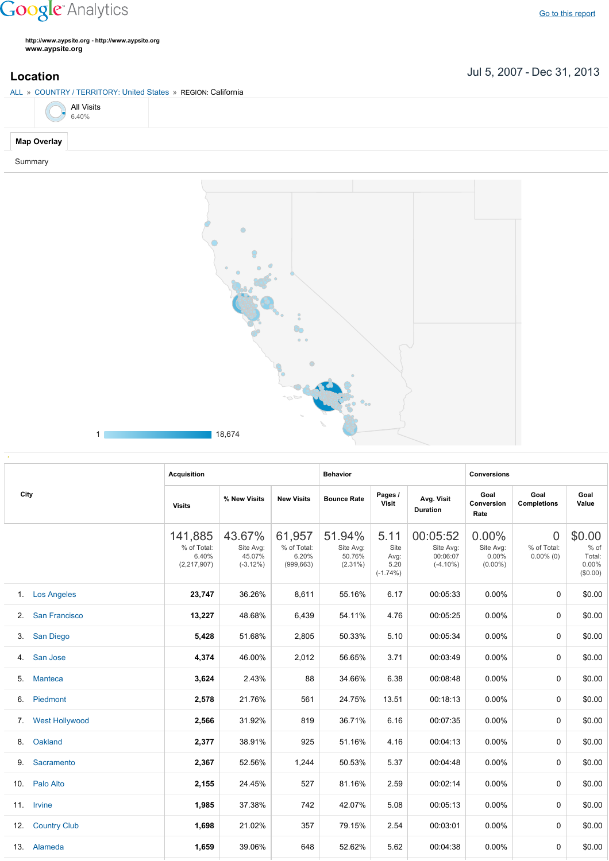## **Google** Analytics

**http://www.aypsite.org http://www.aypsite.org www.aypsite.org**

Jul 5, 2007 Dec 31, 2013 **Location**

| ALL » COUNTRY / TERRITORY: United States » REGION: California |
|---------------------------------------------------------------|
| All Visits<br>6.40%                                           |
| <b>Map Overlay</b>                                            |
| Summary                                                       |



|                 |                       | <b>Acquisition</b>                             |                                             |                                              | <b>Behavior</b>                             |                                             |                                                  | <b>Conversions</b>                        |                                               |                                               |  |
|-----------------|-----------------------|------------------------------------------------|---------------------------------------------|----------------------------------------------|---------------------------------------------|---------------------------------------------|--------------------------------------------------|-------------------------------------------|-----------------------------------------------|-----------------------------------------------|--|
| City            |                       | <b>Visits</b>                                  | % New Visits                                | <b>New Visits</b>                            | <b>Bounce Rate</b>                          | Pages /<br>Visit                            | Avg. Visit<br><b>Duration</b>                    | Goal<br>Conversion<br>Rate                | Goal<br><b>Completions</b>                    | Goal<br>Value                                 |  |
|                 |                       | 141,885<br>% of Total:<br>6.40%<br>(2,217,907) | 43.67%<br>Site Avg:<br>45.07%<br>$(-3.12%)$ | 61,957<br>% of Total:<br>6.20%<br>(999, 663) | 51.94%<br>Site Avg:<br>50.76%<br>$(2.31\%)$ | 5.11<br>Site<br>Avg:<br>5.20<br>$(-1.74\%)$ | 00:05:52<br>Site Avg:<br>00:06:07<br>$(-4.10\%)$ | 0.00%<br>Site Avg:<br>0.00%<br>$(0.00\%)$ | $\overline{0}$<br>% of Total:<br>$0.00\%$ (0) | \$0.00<br>% of<br>Total:<br>0.00%<br>(\$0.00) |  |
| 1.              | <b>Los Angeles</b>    | 23,747                                         | 36.26%                                      | 8,611                                        | 55.16%                                      | 6.17                                        | 00:05:33                                         | $0.00\%$                                  | $\mathbf 0$                                   | \$0.00                                        |  |
| 2.              | <b>San Francisco</b>  | 13,227                                         | 48.68%                                      | 6,439                                        | 54.11%                                      | 4.76                                        | 00:05:25                                         | 0.00%                                     | $\mathbf{0}$                                  | \$0.00                                        |  |
| 3.              | <b>San Diego</b>      | 5,428                                          | 51.68%                                      | 2,805                                        | 50.33%                                      | 5.10                                        | 00:05:34                                         | $0.00\%$                                  | $\mathbf{0}$                                  | \$0.00                                        |  |
| 4.              | San Jose              | 4,374                                          | 46.00%                                      | 2,012                                        | 56.65%                                      | 3.71                                        | 00:03:49                                         | 0.00%                                     | $\mathbf 0$                                   | \$0.00                                        |  |
| 5.              | <b>Manteca</b>        | 3,624                                          | 2.43%                                       | 88                                           | 34.66%                                      | 6.38                                        | 00:08:48                                         | $0.00\%$                                  | $\mathbf{0}$                                  | \$0.00                                        |  |
| 6.              | Piedmont              | 2,578                                          | 21.76%                                      | 561                                          | 24.75%                                      | 13.51                                       | 00:18:13                                         | $0.00\%$                                  | $\mathbf{0}$                                  | \$0.00                                        |  |
| 7.              | <b>West Hollywood</b> | 2,566                                          | 31.92%                                      | 819                                          | 36.71%                                      | 6.16                                        | 00:07:35                                         | 0.00%                                     | $\Omega$                                      | \$0.00                                        |  |
| 8.              | Oakland               | 2,377                                          | 38.91%                                      | 925                                          | 51.16%                                      | 4.16                                        | 00:04:13                                         | $0.00\%$                                  | $\mathbf{0}$                                  | \$0.00                                        |  |
| 9.              | Sacramento            | 2,367                                          | 52.56%                                      | 1,244                                        | 50.53%                                      | 5.37                                        | 00:04:48                                         | $0.00\%$                                  | $\mathbf{0}$                                  | \$0.00                                        |  |
| 10 <sub>1</sub> | Palo Alto             | 2,155                                          | 24.45%                                      | 527                                          | 81.16%                                      | 2.59                                        | 00:02:14                                         | $0.00\%$                                  | $\mathbf{0}$                                  | \$0.00                                        |  |
|                 | 11. Irvine            | 1,985                                          | 37.38%                                      | 742                                          | 42.07%                                      | 5.08                                        | 00:05:13                                         | $0.00\%$                                  | $\Omega$                                      | \$0.00                                        |  |
| 12.             | <b>Country Club</b>   | 1,698                                          | 21.02%                                      | 357                                          | 79.15%                                      | 2.54                                        | 00:03:01                                         | $0.00\%$                                  | $\mathbf{0}$                                  | \$0.00                                        |  |
|                 | 13. Alameda           | 1,659                                          | 39.06%                                      | 648                                          | 52.62%                                      | 5.62                                        | 00:04:38                                         | $0.00\%$                                  | $\mathbf{0}$                                  | \$0.00                                        |  |
|                 |                       |                                                |                                             |                                              |                                             |                                             |                                                  |                                           |                                               |                                               |  |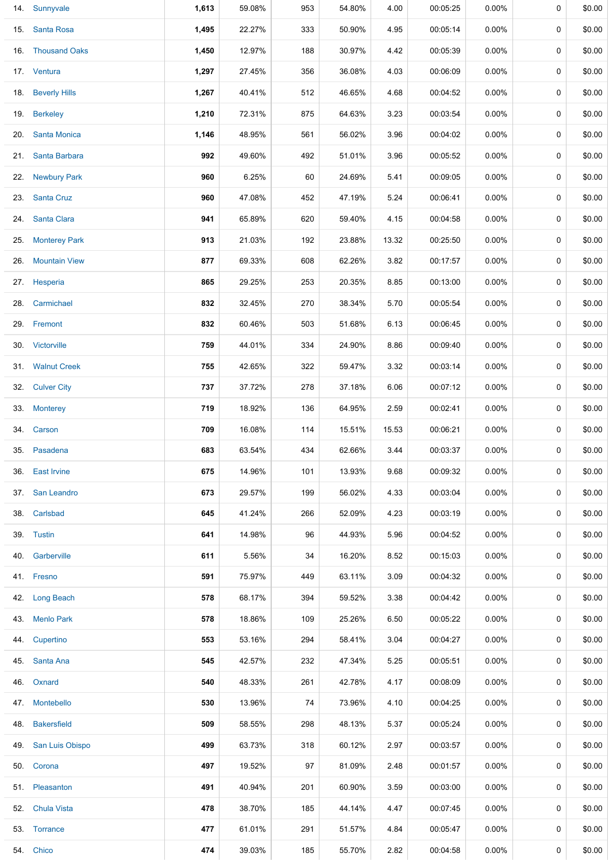|     | 14. Sunnyvale        | 1,613 | 59.08% | 953 | 54.80% | 4.00  | 00:05:25 | $0.00\%$ | 0        | \$0.00 |
|-----|----------------------|-------|--------|-----|--------|-------|----------|----------|----------|--------|
|     | 15. Santa Rosa       | 1,495 | 22.27% | 333 | 50.90% | 4.95  | 00:05:14 | $0.00\%$ | 0        | \$0.00 |
|     | 16. Thousand Oaks    | 1,450 | 12.97% | 188 | 30.97% | 4.42  | 00:05:39 | $0.00\%$ | 0        | \$0.00 |
|     | 17. Ventura          | 1,297 | 27.45% | 356 | 36.08% | 4.03  | 00:06:09 | $0.00\%$ | 0        | \$0.00 |
|     | 18. Beverly Hills    | 1,267 | 40.41% | 512 | 46.65% | 4.68  | 00:04:52 | $0.00\%$ | 0        | \$0.00 |
|     | 19. Berkeley         | 1,210 | 72.31% | 875 | 64.63% | 3.23  | 00:03:54 | $0.00\%$ | 0        | \$0.00 |
|     | 20. Santa Monica     | 1,146 | 48.95% | 561 | 56.02% | 3.96  | 00:04:02 | $0.00\%$ | 0        | \$0.00 |
| 21. | Santa Barbara        | 992   | 49.60% | 492 | 51.01% | 3.96  | 00:05:52 | $0.00\%$ | 0        | \$0.00 |
|     | 22. Newbury Park     | 960   | 6.25%  | 60  | 24.69% | 5.41  | 00:09:05 | $0.00\%$ | 0        | \$0.00 |
|     | 23. Santa Cruz       | 960   | 47.08% | 452 | 47.19% | 5.24  | 00:06:41 | $0.00\%$ | 0        | \$0.00 |
| 24. | Santa Clara          | 941   | 65.89% | 620 | 59.40% | 4.15  | 00:04:58 | $0.00\%$ | 0        | \$0.00 |
|     | 25. Monterey Park    | 913   | 21.03% | 192 | 23.88% | 13.32 | 00:25:50 | $0.00\%$ | 0        | \$0.00 |
| 26. | <b>Mountain View</b> | 877   | 69.33% | 608 | 62.26% | 3.82  | 00:17:57 | $0.00\%$ | 0        | \$0.00 |
|     | 27. Hesperia         | 865   | 29.25% | 253 | 20.35% | 8.85  | 00:13:00 | $0.00\%$ | 0        | \$0.00 |
| 28. | Carmichael           | 832   | 32.45% | 270 | 38.34% | 5.70  | 00:05:54 | $0.00\%$ | 0        | \$0.00 |
|     | 29. Fremont          | 832   | 60.46% | 503 | 51.68% | 6.13  | 00:06:45 | $0.00\%$ | 0        | \$0.00 |
|     | 30. Victorville      | 759   | 44.01% | 334 | 24.90% | 8.86  | 00:09:40 | $0.00\%$ | $\Omega$ | \$0.00 |
|     | 31. Walnut Creek     | 755   | 42.65% | 322 | 59.47% | 3.32  | 00:03:14 | $0.00\%$ | 0        | \$0.00 |
|     | 32. Culver City      | 737   | 37.72% | 278 | 37.18% | 6.06  | 00:07:12 | $0.00\%$ | 0        | \$0.00 |
| 33. | <b>Monterey</b>      | 719   | 18.92% | 136 | 64.95% | 2.59  | 00:02:41 | $0.00\%$ | 0        | \$0.00 |
|     | 34. Carson           | 709   | 16.08% | 114 | 15.51% | 15.53 | 00:06:21 | $0.00\%$ | 0        | \$0.00 |
|     | 35. Pasadena         | 683   | 63.54% | 434 | 62.66% | 3.44  | 00:03:37 | $0.00\%$ | 0        | \$0.00 |
|     | 36. East Irvine      | 675   | 14.96% | 101 | 13.93% | 9.68  | 00:09:32 | $0.00\%$ | 0        | \$0.00 |
|     | 37. San Leandro      | 673   | 29.57% | 199 | 56.02% | 4.33  | 00:03:04 | $0.00\%$ | 0        | \$0.00 |
|     | 38. Carlsbad         | 645   | 41.24% | 266 | 52.09% | 4.23  | 00:03:19 | $0.00\%$ | 0        | \$0.00 |
|     | 39. Tustin           | 641   | 14.98% | 96  | 44.93% | 5.96  | 00:04:52 | $0.00\%$ | 0        | \$0.00 |
|     | 40. Garberville      | 611   | 5.56%  | 34  | 16.20% | 8.52  | 00:15:03 | $0.00\%$ | 0        | \$0.00 |
|     | 41. Fresno           | 591   | 75.97% | 449 | 63.11% | 3.09  | 00:04:32 | $0.00\%$ | 0        | \$0.00 |
|     | 42. Long Beach       | 578   | 68.17% | 394 | 59.52% | 3.38  | 00:04:42 | $0.00\%$ | 0        | \$0.00 |
|     | 43. Menlo Park       | 578   | 18.86% | 109 | 25.26% | 6.50  | 00:05:22 | $0.00\%$ | 0        | \$0.00 |
|     | 44. Cupertino        | 553   | 53.16% | 294 | 58.41% | 3.04  | 00:04:27 | $0.00\%$ | 0        | \$0.00 |
|     | 45. Santa Ana        | 545   | 42.57% | 232 | 47.34% | 5.25  | 00:05:51 | $0.00\%$ | 0        | \$0.00 |
|     | 46. Oxnard           | 540   | 48.33% | 261 | 42.78% | 4.17  | 00:08:09 | $0.00\%$ | 0        | \$0.00 |
|     | 47. Montebello       | 530   | 13.96% | 74  | 73.96% | 4.10  | 00:04:25 | $0.00\%$ | 0        | \$0.00 |
|     | 48. Bakersfield      | 509   | 58.55% | 298 | 48.13% | 5.37  | 00:05:24 | $0.00\%$ | 0        | \$0.00 |
|     | 49. San Luis Obispo  | 499   | 63.73% | 318 | 60.12% | 2.97  | 00:03:57 | $0.00\%$ | 0        | \$0.00 |
|     | 50. Corona           | 497   | 19.52% | 97  | 81.09% | 2.48  | 00:01:57 | $0.00\%$ | 0        | \$0.00 |
|     | 51. Pleasanton       | 491   | 40.94% | 201 | 60.90% | 3.59  | 00:03:00 | $0.00\%$ | 0        | \$0.00 |
|     | 52. Chula Vista      | 478   | 38.70% | 185 | 44.14% | 4.47  | 00:07:45 | $0.00\%$ | 0        | \$0.00 |
|     | 53. Torrance         | 477   | 61.01% | 291 | 51.57% | 4.84  | 00:05:47 | $0.00\%$ | 0        | \$0.00 |
|     | 54. Chico            | 474   | 39.03% | 185 | 55.70% | 2.82  | 00:04:58 | $0.00\%$ | 0        | \$0.00 |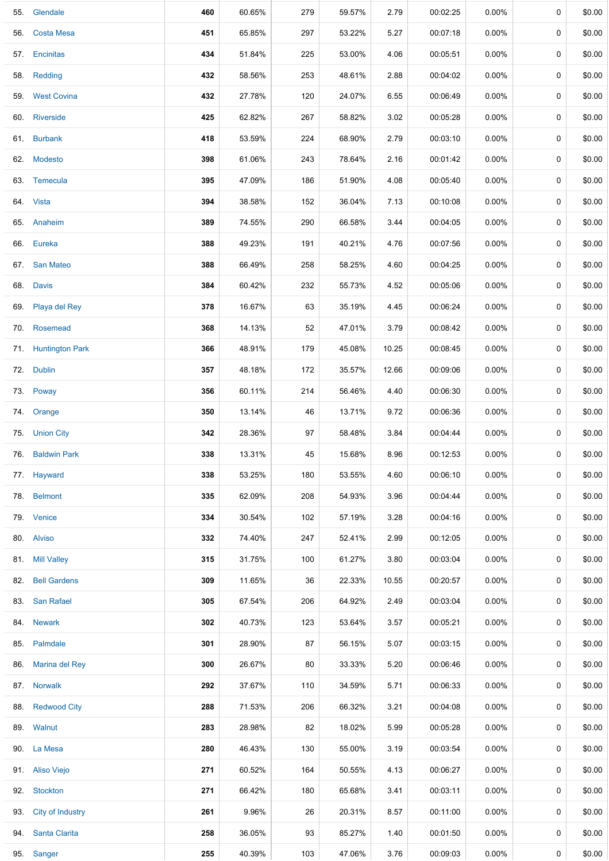| 55. Glendale         | 460 | 60.65% | 279 | 59.57% | 2.79  | 00:02:25 | 0.00%    | 0           | \$0.00 |
|----------------------|-----|--------|-----|--------|-------|----------|----------|-------------|--------|
| 56. Costa Mesa       | 451 | 65.85% | 297 | 53.22% | 5.27  | 00:07:18 | $0.00\%$ | $\mathbf 0$ | \$0.00 |
| 57. Encinitas        | 434 | 51.84% | 225 | 53.00% | 4.06  | 00:05:51 | $0.00\%$ | 0           | \$0.00 |
| 58. Redding          | 432 | 58.56% | 253 | 48.61% | 2.88  | 00:04:02 | $0.00\%$ | 0           | \$0.00 |
| 59. West Covina      | 432 | 27.78% | 120 | 24.07% | 6.55  | 00:06:49 | $0.00\%$ | 0           | \$0.00 |
| 60. Riverside        | 425 | 62.82% | 267 | 58.82% | 3.02  | 00:05:28 | $0.00\%$ | 0           | \$0.00 |
| 61. Burbank          | 418 | 53.59% | 224 | 68.90% | 2.79  | 00:03:10 | 0.00%    | 0           | \$0.00 |
| 62. Modesto          | 398 | 61.06% | 243 | 78.64% | 2.16  | 00:01:42 | $0.00\%$ | 0           | \$0.00 |
| 63. Temecula         | 395 | 47.09% | 186 | 51.90% | 4.08  | 00:05:40 | $0.00\%$ | $\mathbf 0$ | \$0.00 |
| 64. Vista            | 394 | 38.58% | 152 | 36.04% | 7.13  | 00:10:08 | $0.00\%$ | 0           | \$0.00 |
| 65. Anaheim          | 389 | 74.55% | 290 | 66.58% | 3.44  | 00:04:05 | $0.00\%$ | 0           | \$0.00 |
| 66. Eureka           | 388 | 49.23% | 191 | 40.21% | 4.76  | 00:07:56 | $0.00\%$ | 0           | \$0.00 |
| 67. San Mateo        | 388 | 66.49% | 258 | 58.25% | 4.60  | 00:04:25 | $0.00\%$ | 0           | \$0.00 |
| 68. Davis            | 384 | 60.42% | 232 | 55.73% | 4.52  | 00:05:06 | 0.00%    | 0           | \$0.00 |
| 69. Playa del Rey    | 378 | 16.67% | 63  | 35.19% | 4.45  | 00:06:24 | $0.00\%$ | 0           | \$0.00 |
| 70. Rosemead         | 368 | 14.13% | 52  | 47.01% | 3.79  | 00:08:42 | $0.00\%$ | $\mathbf 0$ | \$0.00 |
| 71. Huntington Park  | 366 | 48.91% | 179 | 45.08% | 10.25 | 00:08:45 | $0.00\%$ | 0           | \$0.00 |
| 72. Dublin           | 357 | 48.18% | 172 | 35.57% | 12.66 | 00:09:06 | $0.00\%$ | 0           | \$0.00 |
| 73. Poway            | 356 | 60.11% | 214 | 56.46% | 4.40  | 00:06:30 | $0.00\%$ | 0           | \$0.00 |
| 74. Orange           | 350 | 13.14% | 46  | 13.71% | 9.72  | 00:06:36 | $0.00\%$ | 0           | \$0.00 |
| 75. Union City       | 342 | 28.36% | 97  | 58.48% | 3.84  | 00:04:44 | 0.00%    | 0           | \$0.00 |
| 76. Baldwin Park     | 338 | 13.31% | 45  | 15.68% | 8.96  | 00:12:53 | 0.00%    | 0           | \$0.00 |
| 77. Hayward          | 338 | 53.25% | 180 | 53.55% | 4.60  | 00:06:10 | $0.00\%$ | 0           | \$0.00 |
| 78. Belmont          | 335 | 62.09% | 208 | 54.93% | 3.96  | 00:04:44 | $0.00\%$ | 0           | \$0.00 |
| 79. Venice           | 334 | 30.54% | 102 | 57.19% | 3.28  | 00:04:16 | $0.00\%$ | 0           | \$0.00 |
| 80. Alviso           | 332 | 74.40% | 247 | 52.41% | 2.99  | 00:12:05 | $0.00\%$ | 0           | \$0.00 |
| 81. Mill Valley      | 315 | 31.75% | 100 | 61.27% | 3.80  | 00:03:04 | $0.00\%$ | 0           | \$0.00 |
| 82. Bell Gardens     | 309 | 11.65% | 36  | 22.33% | 10.55 | 00:20:57 | $0.00\%$ | 0           | \$0.00 |
| 83. San Rafael       | 305 | 67.54% | 206 | 64.92% | 2.49  | 00:03:04 | 0.00%    | 0           | \$0.00 |
| 84. Newark           | 302 | 40.73% | 123 | 53.64% | 3.57  | 00:05:21 | $0.00\%$ | 0           | \$0.00 |
| 85. Palmdale         | 301 | 28.90% | 87  | 56.15% | 5.07  | 00:03:15 | $0.00\%$ | 0           | \$0.00 |
| 86. Marina del Rey   | 300 | 26.67% | 80  | 33.33% | 5.20  | 00:06:46 | $0.00\%$ | 0           | \$0.00 |
| 87. Norwalk          | 292 | 37.67% | 110 | 34.59% | 5.71  | 00:06:33 | $0.00\%$ | 0           | \$0.00 |
| 88. Redwood City     | 288 | 71.53% | 206 | 66.32% | 3.21  | 00:04:08 | $0.00\%$ | 0           | \$0.00 |
| 89. Walnut           | 283 | 28.98% | 82  | 18.02% | 5.99  | 00:05:28 | $0.00\%$ | 0           | \$0.00 |
| 90. La Mesa          | 280 | 46.43% | 130 | 55.00% | 3.19  | 00:03:54 | $0.00\%$ | 0           | \$0.00 |
| 91. Aliso Viejo      | 271 | 60.52% | 164 | 50.55% | 4.13  | 00:06:27 | 0.00%    | 0           | \$0.00 |
| 92. Stockton         | 271 | 66.42% | 180 | 65.68% | 3.41  | 00:03:11 | $0.00\%$ | 0           | \$0.00 |
| 93. City of Industry | 261 | 9.96%  | 26  | 20.31% | 8.57  | 00:11:00 | $0.00\%$ | 0           | \$0.00 |
| 94. Santa Clarita    | 258 | 36.05% | 93  | 85.27% | 1.40  | 00:01:50 | $0.00\%$ | 0           | \$0.00 |
| 95. Sanger           | 255 | 40.39% | 103 | 47.06% | 3.76  | 00:09:03 | $0.00\%$ | 0           | \$0.00 |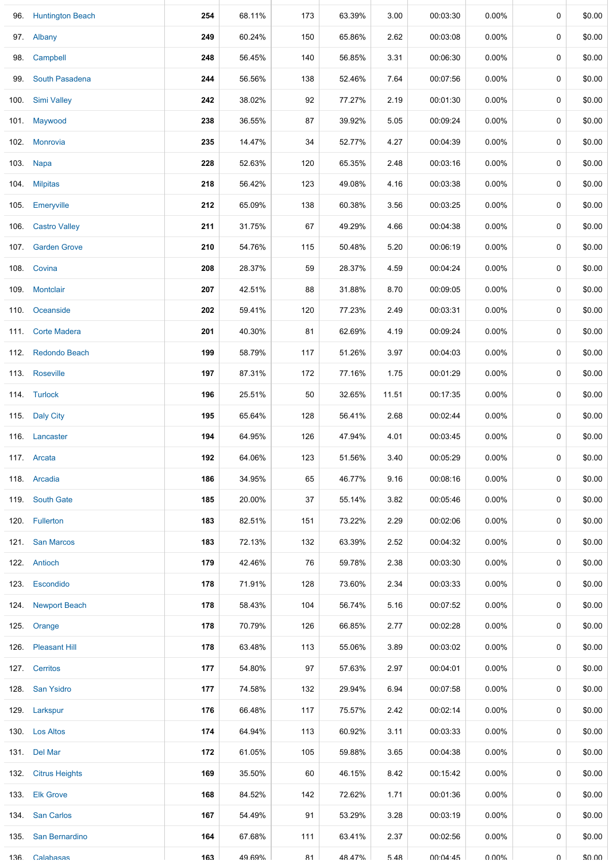|     | 96. Huntington Beach | 254 | 68.11% | 173 | 63.39% | 3.00  | 00:03:30 | $0.00\%$ | $\mathbf 0$ | \$0.00 |
|-----|----------------------|-----|--------|-----|--------|-------|----------|----------|-------------|--------|
|     | 97. Albany           | 249 | 60.24% | 150 | 65.86% | 2.62  | 00:03:08 | 0.00%    | 0           | \$0.00 |
|     | 98. Campbell         | 248 | 56.45% | 140 | 56.85% | 3.31  | 00:06:30 | $0.00\%$ | 0           | \$0.00 |
|     | 99. South Pasadena   | 244 | 56.56% | 138 | 52.46% | 7.64  | 00:07:56 | 0.00%    | 0           | \$0.00 |
|     | 100. Simi Valley     | 242 | 38.02% | 92  | 77.27% | 2.19  | 00:01:30 | $0.00\%$ | 0           | \$0.00 |
|     | 101 Maywood          | 238 | 36.55% | 87  | 39.92% | 5.05  | 00:09:24 | $0.00\%$ | $\pmb{0}$   | \$0.00 |
|     | 102. Monrovia        | 235 | 14.47% | 34  | 52.77% | 4.27  | 00:04:39 | 0.00%    | 0           | \$0.00 |
|     | 103. Napa            | 228 | 52.63% | 120 | 65.35% | 2.48  | 00:03:16 | 0.00%    | $\mathbf 0$ | \$0.00 |
|     | 104. Milpitas        | 218 | 56.42% | 123 | 49.08% | 4.16  | 00:03:38 | $0.00\%$ | 0           | \$0.00 |
|     | 105. Emeryville      | 212 | 65.09% | 138 | 60.38% | 3.56  | 00:03:25 | $0.00\%$ | 0           | \$0.00 |
|     | 106. Castro Valley   | 211 | 31.75% | 67  | 49.29% | 4.66  | 00:04:38 | 0.00%    | 0           | \$0.00 |
|     | 107. Garden Grove    | 210 | 54.76% | 115 | 50.48% | 5.20  | 00:06:19 | $0.00\%$ | 0           | \$0.00 |
|     | 108. Covina          | 208 | 28.37% | 59  | 28.37% | 4.59  | 00:04:24 | $0.00\%$ | $\pmb{0}$   | \$0.00 |
|     | 109. Montclair       | 207 | 42.51% | 88  | 31.88% | 8.70  | 00:09:05 | 0.00%    | 0           | \$0.00 |
|     | 110. Oceanside       | 202 | 59.41% | 120 | 77.23% | 2.49  | 00:03:31 | 0.00%    | $\mathbf 0$ | \$0.00 |
|     | 111. Corte Madera    | 201 | 40.30% | 81  | 62.69% | 4.19  | 00:09:24 | $0.00\%$ | 0           | \$0.00 |
|     | 112. Redondo Beach   | 199 | 58.79% | 117 | 51.26% | 3.97  | 00:04:03 | $0.00\%$ | 0           | \$0.00 |
|     | 113. Roseville       | 197 | 87.31% | 172 | 77.16% | 1.75  | 00:01:29 | 0.00%    | 0           | \$0.00 |
|     | 114. Turlock         | 196 | 25.51% | 50  | 32.65% | 11.51 | 00:17:35 | $0.00\%$ | $\mathbf 0$ | \$0.00 |
|     | 115. Daly City       | 195 | 65.64% | 128 | 56.41% | 2.68  | 00:02:44 | $0.00\%$ | 0           | \$0.00 |
|     | 116. Lancaster       | 194 | 64.95% | 126 | 47.94% | 4.01  | 00:03:45 | $0.00\%$ | 0           | \$0.00 |
|     | 117. Arcata          | 192 | 64.06% | 123 | 51.56% | 3.40  | 00:05:29 | 0.00%    | 0           | \$0.00 |
|     | 118. Arcadia         | 186 | 34.95% | 65  | 46.77% | 9.16  | 00:08:16 | 0.00%    | 0           | \$0.00 |
|     | 119. South Gate      | 185 | 20.00% | 37  | 55.14% | 3.82  | 00:05:46 | 0.00%    | 0           | \$0.00 |
|     | 120. Fullerton       | 183 | 82.51% | 151 | 73.22% | 2.29  | 00:02:06 | 0.00%    | 0           | \$0.00 |
|     | 121. San Marcos      | 183 | 72.13% | 132 | 63.39% | 2.52  | 00:04:32 | 0.00%    | 0           | \$0.00 |
|     | 122. Antioch         | 179 | 42.46% | 76  | 59.78% | 2.38  | 00:03:30 | $0.00\%$ | $\mathbf 0$ | \$0.00 |
|     | 123. Escondido       | 178 | 71.91% | 128 | 73.60% | 2.34  | 00:03:33 | $0.00\%$ | 0           | \$0.00 |
|     | 124. Newport Beach   | 178 | 58.43% | 104 | 56.74% | 5.16  | 00:07:52 | $0.00\%$ | $\mathbf 0$ | \$0.00 |
|     | 125. Orange          | 178 | 70.79% | 126 | 66.85% | 2.77  | 00:02:28 | 0.00%    | 0           | \$0.00 |
|     | 126. Pleasant Hill   | 178 | 63.48% | 113 | 55.06% | 3.89  | 00:03:02 | $0.00\%$ | 0           | \$0.00 |
|     | 127. Cerritos        | 177 | 54.80% | 97  | 57.63% | 2.97  | 00:04:01 | 0.00%    | 0           | \$0.00 |
|     | 128. San Ysidro      | 177 | 74.58% | 132 | 29.94% | 6.94  | 00:07:58 | 0.00%    | 0           | \$0.00 |
|     | 129. Larkspur        | 176 | 66.48% | 117 | 75.57% | 2.42  | 00:02:14 | $0.00\%$ | $\mathbf 0$ | \$0.00 |
|     | 130. Los Altos       | 174 | 64.94% | 113 | 60.92% | 3.11  | 00:03:33 | $0.00\%$ | 0           | \$0.00 |
|     | 131. Del Mar         | 172 | 61.05% | 105 | 59.88% | 3.65  | 00:04:38 | $0.00\%$ | $\mathbf 0$ | \$0.00 |
|     | 132. Citrus Heights  | 169 | 35.50% | 60  | 46.15% | 8.42  | 00:15:42 | 0.00%    | 0           | \$0.00 |
|     | 133. Elk Grove       | 168 | 84.52% | 142 | 72.62% | 1.71  | 00:01:36 | $0.00\%$ | 0           | \$0.00 |
|     | 134 San Carlos       | 167 | 54.49% | 91  | 53.29% | 3.28  | 00:03:19 | $0.00\%$ | 0           | \$0.00 |
|     | 135. San Bernardino  | 164 | 67.68% | 111 | 63.41% | 2.37  | 00:02:56 | 0.00%    | 0           | \$0.00 |
| 136 | Calabasas            | 163 | 49 69% | 81  | 48 47% | 548   | 00.04.45 | በ በበ%    | U           | ደሀ ሀሀ  |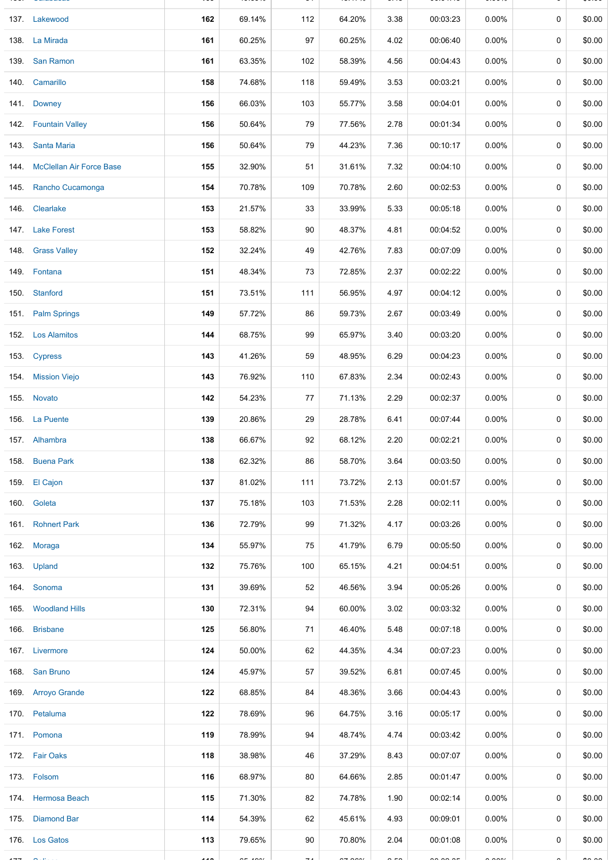| 137. Lakewood                 | 162  | 69.14%        | 112 | 64.20%      | 3.38           | 00:03:23 | $0.00\%$             | 0           | \$0.00 |
|-------------------------------|------|---------------|-----|-------------|----------------|----------|----------------------|-------------|--------|
| 138. La Mirada                | 161  | 60.25%        | 97  | 60.25%      | 4.02           | 00:06:40 | 0.00%                | 0           | \$0.00 |
| 139. San Ramon                | 161  | 63.35%        | 102 | 58.39%      | 4.56           | 00:04:43 | 0.00%                | 0           | \$0.00 |
| 140. Camarillo                | 158  | 74.68%        | 118 | 59.49%      | 3.53           | 00:03:21 | $0.00\%$             | 0           | \$0.00 |
| 141. Downey                   | 156  | 66.03%        | 103 | 55.77%      | 3.58           | 00:04:01 | 0.00%                | $\mathbf 0$ | \$0.00 |
| 142. Fountain Valley          | 156  | 50.64%        | 79  | 77.56%      | 2.78           | 00:01:34 | $0.00\%$             | $\mathbf 0$ | \$0.00 |
| 143 Santa Maria               | 156  | 50.64%        | 79  | 44.23%      | 7.36           | 00:10:17 | $0.00\%$             | $\mathbf 0$ | \$0.00 |
| 144. McClellan Air Force Base | 155  | 32.90%        | 51  | 31.61%      | 7.32           | 00:04:10 | $0.00\%$             | 0           | \$0.00 |
| 145. Rancho Cucamonga         | 154  | 70.78%        | 109 | 70.78%      | 2.60           | 00:02:53 | $0.00\%$             | 0           | \$0.00 |
| 146. Clearlake                | 153  | 21.57%        | 33  | 33.99%      | 5.33           | 00:05:18 | $0.00\%$             | $\mathbf 0$ | \$0.00 |
| 147. Lake Forest              | 153  | 58.82%        | 90  | 48.37%      | 4.81           | 00:04:52 | $0.00\%$             | 0           | \$0.00 |
| 148. Grass Valley             | 152  | 32.24%        | 49  | 42.76%      | 7.83           | 00:07:09 | $0.00\%$             | 0           | \$0.00 |
| 149. Fontana                  | 151  | 48.34%        | 73  | 72.85%      | 2.37           | 00:02:22 | $0.00\%$             | 0           | \$0.00 |
| 150. Stanford                 | 151  | 73.51%        | 111 | 56.95%      | 4.97           | 00:04:12 | 0.00%                | $\mathbf 0$ | \$0.00 |
| 151. Palm Springs             | 149  | 57.72%        | 86  | 59.73%      | 2.67           | 00:03:49 | $0.00\%$             | 0           | \$0.00 |
| 152. Los Alamitos             | 144  | 68.75%        | 99  | 65.97%      | 3.40           | 00:03:20 | 0.00%                | 0           | \$0.00 |
| 153. Cypress                  | 143  | 41.26%        | 59  | 48.95%      | 6.29           | 00:04:23 | $0.00\%$             | $\mathbf 0$ | \$0.00 |
| 154. Mission Viejo            | 143  | 76.92%        | 110 | 67.83%      | 2.34           | 00:02:43 | $0.00\%$             | 0           | \$0.00 |
| 155. Novato                   | 142  | 54.23%        | 77  | 71.13%      | 2.29           | 00:02:37 | $0.00\%$             | 0           | \$0.00 |
| 156. La Puente                | 139  | 20.86%        | 29  | 28.78%      | 6.41           | 00:07:44 | $0.00\%$             | 0           | \$0.00 |
| 157. Alhambra                 | 138  | 66.67%        | 92  | 68.12%      | 2.20           | 00:02:21 | $0.00\%$             | $\mathbf 0$ | \$0.00 |
| 158. Buena Park               | 138  | 62.32%        | 86  | 58.70%      | 3.64           | 00:03:50 | $0.00\%$             | 0           | \$0.00 |
| 159. El Cajon                 | 137  | 81.02%        | 111 | 73.72%      | 2.13           | 00:01:57 | $0.00\%$             | 0           | \$0.00 |
| 160. Goleta                   | 137  | 75.18%        | 103 | 71.53%      | 2.28           | 00:02:11 | $0.00\%$             | 0           | \$0.00 |
| 161. Rohnert Park             | 136  | 72.79%        | 99  | 71.32%      | 4.17           | 00:03:26 | $0.00\%$             | 0           | \$0.00 |
| 162. Moraga                   | 134  | 55.97%        | 75  | 41.79%      | 6.79           | 00:05:50 | $0.00\%$             | 0           | \$0.00 |
| 163. Upland                   | 132  | 75.76%        | 100 | 65.15%      | 4.21           | 00:04:51 | $0.00\%$             | 0           | \$0.00 |
| 164. Sonoma                   | 131  | 39.69%        | 52  | 46.56%      | 3.94           | 00:05:26 | $0.00\%$             | $\mathbf 0$ | \$0.00 |
| 165. Woodland Hills           | 130  | 72.31%        | 94  | 60.00%      | 3.02           | 00:03:32 | $0.00\%$             | 0           | \$0.00 |
| 166. Brisbane                 | 125  | 56.80%        | 71  | 46.40%      | 5.48           | 00:07:18 | $0.00\%$             | 0           | \$0.00 |
| 167. Livermore                | 124  | 50.00%        | 62  | 44.35%      | 4.34           | 00:07:23 | $0.00\%$             | 0           | \$0.00 |
| 168. San Bruno                | 124  | 45.97%        | 57  | 39.52%      | 6.81           | 00:07:45 | $0.00\%$             | $\Omega$    | \$0.00 |
| 169. Arroyo Grande            | 122  | 68.85%        | 84  | 48.36%      | 3.66           | 00:04:43 | $0.00\%$             | 0           | \$0.00 |
| 170. Petaluma                 | 122  | 78.69%        | 96  | 64.75%      | 3.16           | 00:05:17 | $0.00\%$             | 0           | \$0.00 |
| 171. Pomona                   | 119  | 78.99%        | 94  | 48.74%      | 4.74           | 00:03:42 | $0.00\%$             | 0           | \$0.00 |
| 172. Fair Oaks                | 118  | 38.98%        | 46  | 37.29%      | 8.43           | 00:07:07 | $0.00\%$             | 0           | \$0.00 |
| 173. Folsom                   | 116  | 68.97%        | 80  | 64.66%      | 2.85           | 00:01:47 | $0.00\%$             | 0           | \$0.00 |
| 174. Hermosa Beach            | 115  | 71.30%        | 82  | 74.78%      | 1.90           | 00:02:14 | $0.00\%$             | 0           | \$0.00 |
| 175 Diamond Bar               | 114  | 54.39%        | 62  | 45.61%      | 4.93           | 00:09:01 | $0.00\%$             | $\Omega$    | \$0.00 |
| 176. Los Gatos                | 113  | 79.65%        | 90  | 70.80%      | 2.04           | 00:01:08 | $0.00\%$             | 0           | \$0.00 |
|                               | لمدد | $\frac{1}{2}$ |     | $- - - - -$ | $\sim$ $ \sim$ | $-2000$  | $\sim$ $\sim$ $\sim$ |             |        |

136. Calabasas **163. ISBN 99.699 81-69.699 81 48.4**7% St. Lett. 19. ISBN 9-8.481-69. ISBN 9-8.48-69-69-69-69-69-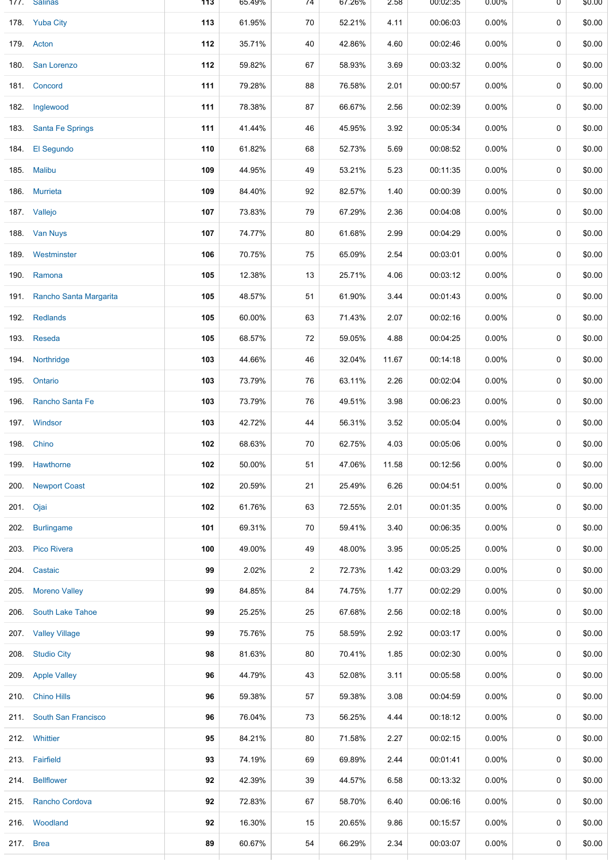|      | 1//. Salinas             | 113 | 65.49% | 74             | 67.26% | 2.58  | 00:02:35 | 0.00%    | U           | \$0.00 |
|------|--------------------------|-----|--------|----------------|--------|-------|----------|----------|-------------|--------|
|      | 178. Yuba City           | 113 | 61.95% | 70             | 52.21% | 4.11  | 00:06:03 | 0.00%    | 0           | \$0.00 |
|      | 179. Acton               | 112 | 35.71% | 40             | 42.86% | 4.60  | 00:02:46 | $0.00\%$ | 0           | \$0.00 |
| 180. | San Lorenzo              | 112 | 59.82% | 67             | 58.93% | 3.69  | 00:03:32 | $0.00\%$ | $\mathbf 0$ | \$0.00 |
|      | 181. Concord             | 111 | 79.28% | 88             | 76.58% | 2.01  | 00:00:57 | $0.00\%$ | 0           | \$0.00 |
|      | 182. Inglewood           | 111 | 78.38% | 87             | 66.67% | 2.56  | 00:02:39 | $0.00\%$ | 0           | \$0.00 |
| 183. | <b>Santa Fe Springs</b>  | 111 | 41.44% | 46             | 45.95% | 3.92  | 00:05:34 | 0.00%    | 0           | \$0.00 |
| 184. | El Segundo               | 110 | 61.82% | 68             | 52.73% | 5.69  | 00:08:52 | $0.00\%$ | 0           | \$0.00 |
| 185. | <b>Malibu</b>            | 109 | 44.95% | 49             | 53.21% | 5.23  | 00:11:35 | $0.00\%$ | 0           | \$0.00 |
|      | 186. Murrieta            | 109 | 84.40% | 92             | 82.57% | 1.40  | 00:00:39 | $0.00\%$ | 0           | \$0.00 |
|      | 187. Vallejo             | 107 | 73.83% | 79             | 67.29% | 2.36  | 00:04:08 | $0.00\%$ | 0           | \$0.00 |
|      | 188 Van Nuys             | 107 | 74.77% | 80             | 61.68% | 2.99  | 00:04:29 | $0.00\%$ | 0           | \$0.00 |
|      | 189 Westminster          | 106 | 70.75% | 75             | 65.09% | 2.54  | 00:03:01 | 0.00%    | 0           | \$0.00 |
| 190. | Ramona                   | 105 | 12.38% | 13             | 25.71% | 4.06  | 00:03:12 | $0.00\%$ | 0           | \$0.00 |
| 191. | Rancho Santa Margarita   | 105 | 48.57% | 51             | 61.90% | 3.44  | 00:01:43 | $0.00\%$ | 0           | \$0.00 |
| 192. | <b>Redlands</b>          | 105 | 60.00% | 63             | 71.43% | 2.07  | 00:02:16 | $0.00\%$ | 0           | \$0.00 |
|      | 193. Reseda              | 105 | 68.57% | 72             | 59.05% | 4.88  | 00:04:25 | 0.00%    | 0           | \$0.00 |
| 194. | Northridge               | 103 | 44.66% | 46             | 32.04% | 11.67 | 00:14:18 | $0.00\%$ | 0           | \$0.00 |
| 195. | Ontario                  | 103 | 73.79% | 76             | 63.11% | 2.26  | 00:02:04 | $0.00\%$ | 0           | \$0.00 |
| 196. | Rancho Santa Fe          | 103 | 73.79% | 76             | 49.51% | 3.98  | 00:06:23 | 0.00%    | 0           | \$0.00 |
|      | 197. Windsor             | 103 | 42.72% | 44             | 56.31% | 3.52  | 00:05:04 | $0.00\%$ | 0           | \$0.00 |
|      | 198. Chino               | 102 | 68.63% | 70             | 62.75% | 4.03  | 00:05:06 | $0.00\%$ | 0           | \$0.00 |
| 199. | Hawthorne                | 102 | 50.00% | 51             | 47.06% | 11.58 | 00:12:56 | $0.00\%$ | 0           | \$0.00 |
|      | 200. Newport Coast       | 102 | 20.59% | 21             | 25.49% | 6.26  | 00:04:51 | $0.00\%$ | 0           | \$0.00 |
|      | 201. Ojai                | 102 | 61.76% | 63             | 72.55% | 2.01  | 00:01:35 | $0.00\%$ | 0           | \$0.00 |
|      | 202 Burlingame           | 101 | 69.31% | 70             | 59.41% | 3.40  | 00:06:35 | $0.00\%$ | 0           | \$0.00 |
|      | 203. Pico Rivera         | 100 | 49.00% | 49             | 48.00% | 3.95  | 00:05:25 | $0.00\%$ | 0           | \$0.00 |
|      | 204. Castaic             | 99  | 2.02%  | $\overline{2}$ | 72.73% | 1.42  | 00:03:29 | $0.00\%$ | 0           | \$0.00 |
|      | 205. Moreno Valley       | 99  | 84.85% | 84             | 74.75% | 1.77  | 00:02:29 | $0.00\%$ | 0           | \$0.00 |
| 206. | <b>South Lake Tahoe</b>  | 99  | 25.25% | 25             | 67.68% | 2.56  | 00:02:18 | $0.00\%$ | 0           | \$0.00 |
|      | 207. Valley Village      | 99  | 75.76% | 75             | 58.59% | 2.92  | 00:03:17 | $0.00\%$ | 0           | \$0.00 |
|      | 208. Studio City         | 98  | 81.63% | 80             | 70.41% | 1.85  | 00:02:30 | $0.00\%$ | 0           | \$0.00 |
|      | 209. Apple Valley        | 96  | 44.79% | 43             | 52.08% | 3.11  | 00:05:58 | $0.00\%$ | 0           | \$0.00 |
|      | 210. Chino Hills         | 96  | 59.38% | 57             | 59.38% | 3.08  | 00:04:59 | $0.00\%$ | 0           | \$0.00 |
|      | 211. South San Francisco | 96  | 76.04% | 73             | 56.25% | 4.44  | 00:18:12 | $0.00\%$ | 0           | \$0.00 |
|      | 212. Whittier            | 95  | 84.21% | 80             | 71.58% | 2.27  | 00:02:15 | $0.00\%$ | 0           | \$0.00 |
|      | 213. Fairfield           | 93  | 74.19% | 69             | 69.89% | 2.44  | 00:01:41 | $0.00\%$ | 0           | \$0.00 |
|      | 214. Bellflower          | 92  | 42.39% | 39             | 44.57% | 6.58  | 00:13:32 | $0.00\%$ | 0           | \$0.00 |
| 215. | Rancho Cordova           | 92  | 72.83% | 67             | 58.70% | 6.40  | 00:06:16 | $0.00\%$ | 0           | \$0.00 |
|      | 216 Woodland             | 92  | 16.30% | 15             | 20.65% | 9.86  | 00:15:57 | $0.00\%$ | 0           | \$0.00 |
|      | 217. Brea                | 89  | 60.67% | 54             | 66.29% | 2.34  | 00:03:07 | $0.00\%$ | 0           | \$0.00 |
|      |                          |     |        |                |        |       |          |          |             |        |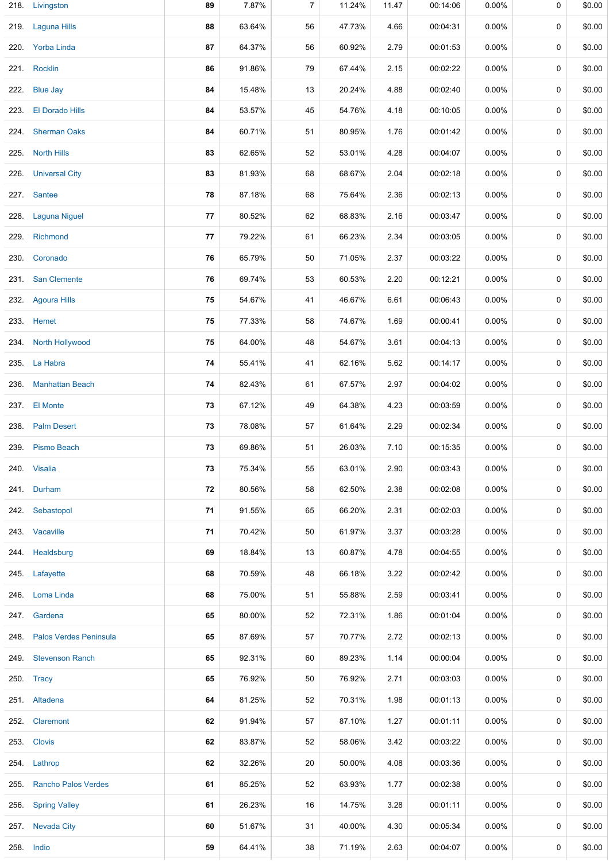|      | 218. Livingston             | 89 | 7.87%  | $\overline{7}$ | 11.24% | 11.47 | 00:14:06 | 0.00%    | 0           | \$0.00 |
|------|-----------------------------|----|--------|----------------|--------|-------|----------|----------|-------------|--------|
|      | 219. Laguna Hills           | 88 | 63.64% | 56             | 47.73% | 4.66  | 00:04:31 | 0.00%    | 0           | \$0.00 |
|      | 220. Yorba Linda            | 87 | 64.37% | 56             | 60.92% | 2.79  | 00:01:53 | $0.00\%$ | 0           | \$0.00 |
|      | 221. Rocklin                | 86 | 91.86% | 79             | 67.44% | 2.15  | 00:02:22 | $0.00\%$ | 0           | \$0.00 |
|      | 222. Blue Jay               | 84 | 15.48% | 13             | 20.24% | 4.88  | 00:02:40 | 0.00%    | 0           | \$0.00 |
|      | 223. El Dorado Hills        | 84 | 53.57% | 45             | 54.76% | 4.18  | 00:10:05 | 0.00%    | 0           | \$0.00 |
|      | 224. Sherman Oaks           | 84 | 60.71% | 51             | 80.95% | 1.76  | 00:01:42 | $0.00\%$ | 0           | \$0.00 |
|      | 225. North Hills            | 83 | 62.65% | 52             | 53.01% | 4.28  | 00:04:07 | $0.00\%$ | $\pmb{0}$   | \$0.00 |
|      | 226. Universal City         | 83 | 81.93% | 68             | 68.67% | 2.04  | 00:02:18 | $0.00\%$ | 0           | \$0.00 |
|      | 227. Santee                 | 78 | 87.18% | 68             | 75.64% | 2.36  | 00:02:13 | $0.00\%$ | 0           | \$0.00 |
|      | 228. Laguna Niguel          | 77 | 80.52% | 62             | 68.83% | 2.16  | 00:03:47 | $0.00\%$ | 0           | \$0.00 |
|      | 229. Richmond               | 77 | 79.22% | 61             | 66.23% | 2.34  | 00:03:05 | 0.00%    | 0           | \$0.00 |
| 230. | Coronado                    | 76 | 65.79% | 50             | 71.05% | 2.37  | 00:03:22 | 0.00%    | 0           | \$0.00 |
|      | 231. San Clemente           | 76 | 69.74% | 53             | 60.53% | 2.20  | 00:12:21 | $0.00\%$ | $\mathbf 0$ | \$0.00 |
|      | 232. Agoura Hills           | 75 | 54.67% | 41             | 46.67% | 6.61  | 00:06:43 | $0.00\%$ | $\pmb{0}$   | \$0.00 |
|      | 233. Hemet                  | 75 | 77.33% | 58             | 74.67% | 1.69  | 00:00:41 | $0.00\%$ | 0           | \$0.00 |
|      | 234. North Hollywood        | 75 | 64.00% | 48             | 54.67% | 3.61  | 00:04:13 | $0.00\%$ | 0           | \$0.00 |
|      | 235. La Habra               | 74 | 55.41% | 41             | 62.16% | 5.62  | 00:14:17 | $0.00\%$ | 0           | \$0.00 |
|      | 236. Manhattan Beach        | 74 | 82.43% | 61             | 67.57% | 2.97  | 00:04:02 | $0.00\%$ | 0           | \$0.00 |
|      | 237. El Monte               | 73 | 67.12% | 49             | 64.38% | 4.23  | 00:03:59 | 0.00%    | $\pmb{0}$   | \$0.00 |
|      | 238. Palm Desert            | 73 | 78.08% | 57             | 61.64% | 2.29  | 00:02:34 | 0.00%    | $\mathbf 0$ | \$0.00 |
|      | 239. Pismo Beach            | 73 | 69.86% | 51             | 26.03% | 7.10  | 00:15:35 | 0.00%    | 0           | \$0.00 |
|      | 240. Visalia                | 73 | 75.34% | 55             | 63.01% | 2.90  | 00:03:43 | 0.00%    | 0           | \$0.00 |
|      | 241. Durham                 | 72 | 80.56% | 58             | 62.50% | 2.38  | 00:02:08 | 0.00%    | 0           | \$0.00 |
|      | 242. Sebastopol             | 71 | 91.55% | 65             | 66.20% | 2.31  | 00:02:03 | $0.00\%$ | 0           | \$0.00 |
|      | 243. Vacaville              | 71 | 70.42% | 50             | 61.97% | 3.37  | 00:03:28 | $0.00\%$ | $\mathbf 0$ | \$0.00 |
|      | 244. Healdsburg             | 69 | 18.84% | 13             | 60.87% | 4.78  | 00:04:55 | $0.00\%$ | 0           | \$0.00 |
|      | 245. Lafayette              | 68 | 70.59% | 48             | 66.18% | 3.22  | 00:02:42 | $0.00\%$ | 0           | \$0.00 |
|      | 246. Loma Linda             | 68 | 75.00% | 51             | 55.88% | 2.59  | 00:03:41 | $0.00\%$ | 0           | \$0.00 |
|      | 247. Gardena                | 65 | 80.00% | 52             | 72.31% | 1.86  | 00:01:04 | $0.00\%$ | 0           | \$0.00 |
|      | 248. Palos Verdes Peninsula | 65 | 87.69% | 57             | 70.77% | 2.72  | 00:02:13 | $0.00\%$ | 0           | \$0.00 |
|      | 249. Stevenson Ranch        | 65 | 92.31% | 60             | 89.23% | 1.14  | 00:00:04 | $0.00\%$ | 0           | \$0.00 |
|      | 250. Tracy                  | 65 | 76.92% | 50             | 76.92% | 2.71  | 00:03:03 | $0.00\%$ | 0           | \$0.00 |
|      | 251. Altadena               | 64 | 81.25% | 52             | 70.31% | 1.98  | 00:01:13 | $0.00\%$ | 0           | \$0.00 |
|      | 252. Claremont              | 62 | 91.94% | 57             | 87.10% | 1.27  | 00:01:11 | $0.00\%$ | 0           | \$0.00 |
|      | 253. Clovis                 | 62 | 83.87% | 52             | 58.06% | 3.42  | 00:03:22 | $0.00\%$ | 0           | \$0.00 |
|      | 254. Lathrop                | 62 | 32.26% | 20             | 50.00% | 4.08  | 00:03:36 | $0.00\%$ | 0           | \$0.00 |
|      | 255. Rancho Palos Verdes    | 61 | 85.25% | 52             | 63.93% | 1.77  | 00:02:38 | $0.00\%$ | $\pmb{0}$   | \$0.00 |
| 256. | <b>Spring Valley</b>        | 61 | 26.23% | 16             | 14.75% | 3.28  | 00:01:11 | $0.00\%$ | 0           | \$0.00 |
|      | 257 Nevada City             | 60 | 51.67% | 31             | 40.00% | 4.30  | 00:05:34 | $0.00\%$ | 0           | \$0.00 |
|      | 258. Indio                  | 59 | 64.41% | 38             | 71.19% | 2.63  | 00:04:07 | $0.00\%$ | 0           | \$0.00 |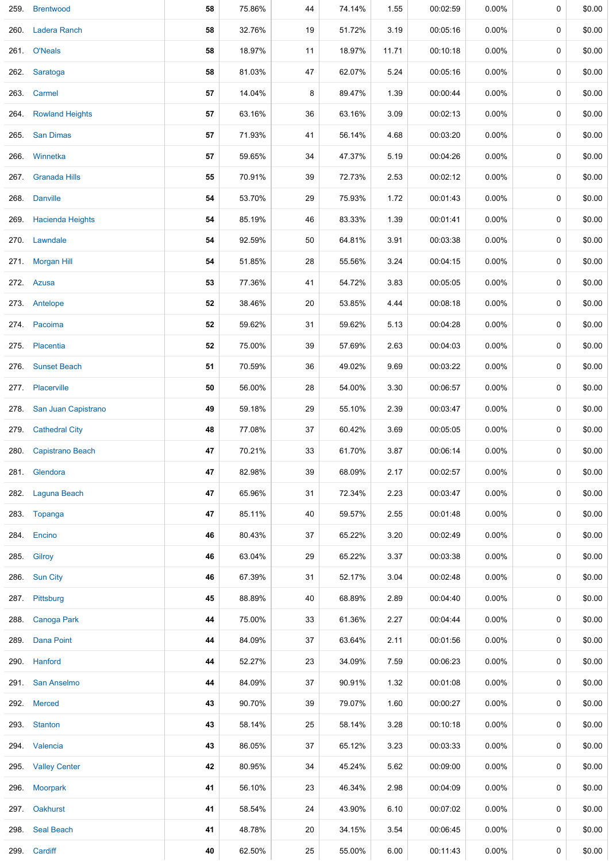| 259. | <b>Brentwood</b>      | 58 | 75.86% | 44 | 74.14% | 1.55  | 00:02:59 | 0.00%    | 0           | \$0.00 |
|------|-----------------------|----|--------|----|--------|-------|----------|----------|-------------|--------|
|      | 260. Ladera Ranch     | 58 | 32.76% | 19 | 51.72% | 3.19  | 00:05:16 | $0.00\%$ | 0           | \$0.00 |
|      | 261. O'Neals          | 58 | 18.97% | 11 | 18.97% | 11.71 | 00:10:18 | $0.00\%$ | 0           | \$0.00 |
|      | 262. Saratoga         | 58 | 81.03% | 47 | 62.07% | 5.24  | 00:05:16 | $0.00\%$ | 0           | \$0.00 |
|      | 263. Carmel           | 57 | 14.04% | 8  | 89.47% | 1.39  | 00:00:44 | $0.00\%$ | 0           | \$0.00 |
|      | 264. Rowland Heights  | 57 | 63.16% | 36 | 63.16% | 3.09  | 00:02:13 | 0.00%    | 0           | \$0.00 |
|      | 265. San Dimas        | 57 | 71.93% | 41 | 56.14% | 4.68  | 00:03:20 | $0.00\%$ | 0           | \$0.00 |
| 266. | Winnetka              | 57 | 59.65% | 34 | 47.37% | 5.19  | 00:04:26 | $0.00\%$ | $\pmb{0}$   | \$0.00 |
|      | 267. Granada Hills    | 55 | 70.91% | 39 | 72.73% | 2.53  | 00:02:12 | $0.00\%$ | 0           | \$0.00 |
|      | 268. Danville         | 54 | 53.70% | 29 | 75.93% | 1.72  | 00:01:43 | $0.00\%$ | 0           | \$0.00 |
|      | 269. Hacienda Heights | 54 | 85.19% | 46 | 83.33% | 1.39  | 00:01:41 | $0.00\%$ | 0           | \$0.00 |
|      | 270. Lawndale         | 54 | 92.59% | 50 | 64.81% | 3.91  | 00:03:38 | $0.00\%$ | 0           | \$0.00 |
| 271. | <b>Morgan Hill</b>    | 54 | 51.85% | 28 | 55.56% | 3.24  | 00:04:15 | 0.00%    | $\pmb{0}$   | \$0.00 |
|      | 272. Azusa            | 53 | 77.36% | 41 | 54.72% | 3.83  | 00:05:05 | $0.00\%$ | $\mathbf 0$ | \$0.00 |
|      | 273. Antelope         | 52 | 38.46% | 20 | 53.85% | 4.44  | 00:08:18 | $0.00\%$ | $\pmb{0}$   | \$0.00 |
|      | 274. Pacoima          | 52 | 59.62% | 31 | 59.62% | 5.13  | 00:04:28 | $0.00\%$ | 0           | \$0.00 |
|      | 275. Placentia        | 52 | 75.00% | 39 | 57.69% | 2.63  | 00:04:03 | $0.00\%$ | 0           | \$0.00 |
|      | 276. Sunset Beach     | 51 | 70.59% | 36 | 49.02% | 9.69  | 00:03:22 | $0.00\%$ | 0           | \$0.00 |
|      | 277. Placerville      | 50 | 56.00% | 28 | 54.00% | 3.30  | 00:06:57 | $0.00\%$ | 0           | \$0.00 |
| 278. | San Juan Capistrano   | 49 | 59.18% | 29 | 55.10% | 2.39  | 00:03:47 | 0.00%    | $\pmb{0}$   | \$0.00 |
|      | 279. Cathedral City   | 48 | 77.08% | 37 | 60.42% | 3.69  | 00:05:05 | $0.00\%$ | $\mathbf 0$ | \$0.00 |
|      | 280. Capistrano Beach | 47 | 70.21% | 33 | 61.70% | 3.87  | 00:06:14 | 0.00%    | 0           | \$0.00 |
|      | 281. Glendora         | 47 | 82.98% | 39 | 68.09% | 2.17  | 00:02:57 | $0.00\%$ | 0           | \$0.00 |
|      | 282. Laguna Beach     | 47 | 65.96% | 31 | 72.34% | 2.23  | 00:03:47 | $0.00\%$ | $\pmb{0}$   | \$0.00 |
|      | 283. Topanga          | 47 | 85.11% | 40 | 59.57% | 2.55  | 00:01:48 | $0.00\%$ | 0           | \$0.00 |
|      | 284. Encino           | 46 | 80.43% | 37 | 65.22% | 3.20  | 00:02:49 | $0.00\%$ | 0           | \$0.00 |
| 285. | Gilroy                | 46 | 63.04% | 29 | 65.22% | 3.37  | 00:03:38 | $0.00\%$ | 0           | \$0.00 |
|      | 286. Sun City         | 46 | 67.39% | 31 | 52.17% | 3.04  | 00:02:48 | 0.00%    | 0           | \$0.00 |
|      | 287. Pittsburg        | 45 | 88.89% | 40 | 68.89% | 2.89  | 00:04:40 | $0.00\%$ | 0           | \$0.00 |
|      | 288. Canoga Park      | 44 | 75.00% | 33 | 61.36% | 2.27  | 00:04:44 | $0.00\%$ | 0           | \$0.00 |
|      | 289. Dana Point       | 44 | 84.09% | 37 | 63.64% | 2.11  | 00:01:56 | $0.00\%$ | 0           | \$0.00 |
|      | 290. Hanford          | 44 | 52.27% | 23 | 34.09% | 7.59  | 00:06:23 | $0.00\%$ | 0           | \$0.00 |
|      | 291. San Anselmo      | 44 | 84.09% | 37 | 90.91% | 1.32  | 00:01:08 | $0.00\%$ | 0           | \$0.00 |
|      | 292. Merced           | 43 | 90.70% | 39 | 79.07% | 1.60  | 00:00:27 | $0.00\%$ | 0           | \$0.00 |
|      | 293. Stanton          | 43 | 58.14% | 25 | 58.14% | 3.28  | 00:10:18 | $0.00\%$ | 0           | \$0.00 |
|      | 294. Valencia         | 43 | 86.05% | 37 | 65.12% | 3.23  | 00:03:33 | 0.00%    | 0           | \$0.00 |
|      | 295. Valley Center    | 42 | 80.95% | 34 | 45.24% | 5.62  | 00:09:00 | $0.00\%$ | 0           | \$0.00 |
|      | 296. Moorpark         | 41 | 56.10% | 23 | 46.34% | 2.98  | 00:04:09 | $0.00\%$ | 0           | \$0.00 |
|      | 297. Oakhurst         | 41 | 58.54% | 24 | 43.90% | 6.10  | 00:07:02 | $0.00\%$ | 0           | \$0.00 |
|      | 298. Seal Beach       | 41 | 48.78% | 20 | 34.15% | 3.54  | 00:06:45 | $0.00\%$ | 0           | \$0.00 |
|      | 299. Cardiff          | 40 | 62.50% | 25 | 55.00% | 6.00  | 00:11:43 | $0.00\%$ | 0           | \$0.00 |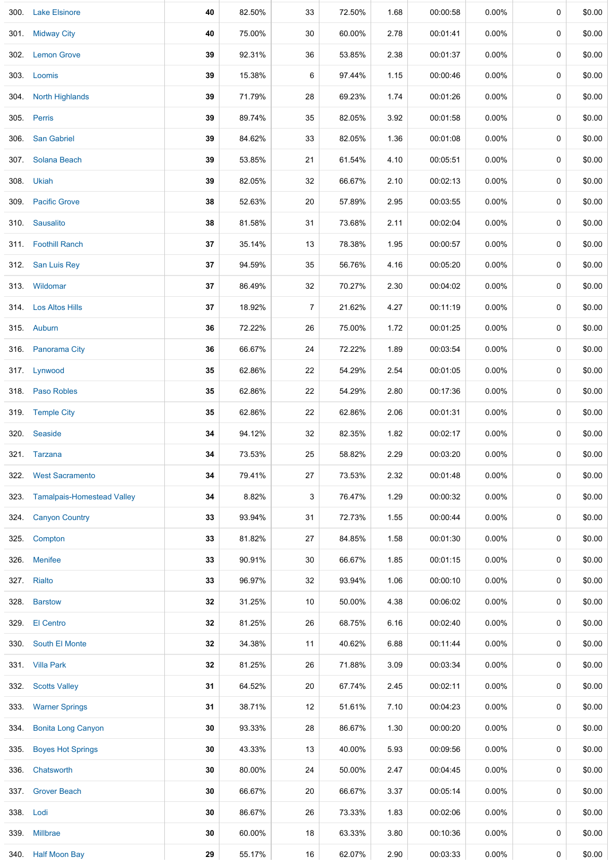|      | 300. Lake Elsinore              | 40 | 82.50% | 33             | 72.50% | 1.68 | 00:00:58 | $0.00\%$ | 0           | \$0.00 |
|------|---------------------------------|----|--------|----------------|--------|------|----------|----------|-------------|--------|
|      | 301. Midway City                | 40 | 75.00% | 30             | 60.00% | 2.78 | 00:01:41 | 0.00%    | 0           | \$0.00 |
|      | 302. Lemon Grove                | 39 | 92.31% | 36             | 53.85% | 2.38 | 00:01:37 | $0.00\%$ | 0           | \$0.00 |
|      | 303. Loomis                     | 39 | 15.38% | 6              | 97.44% | 1.15 | 00:00:46 | 0.00%    | 0           | \$0.00 |
|      | 304. North Highlands            | 39 | 71.79% | 28             | 69.23% | 1.74 | 00:01:26 | 0.00%    | 0           | \$0.00 |
|      | 305. Perris                     | 39 | 89.74% | 35             | 82.05% | 3.92 | 00:01:58 | $0.00\%$ | $\mathbf 0$ | \$0.00 |
|      | 306. San Gabriel                | 39 | 84.62% | 33             | 82.05% | 1.36 | 00:01:08 | $0.00\%$ | 0           | \$0.00 |
|      | 307. Solana Beach               | 39 | 53.85% | 21             | 61.54% | 4.10 | 00:05:51 | $0.00\%$ | 0           | \$0.00 |
|      | 308. Ukiah                      | 39 | 82.05% | 32             | 66.67% | 2.10 | 00:02:13 | $0.00\%$ | 0           | \$0.00 |
|      | 309. Pacific Grove              | 38 | 52.63% | 20             | 57.89% | 2.95 | 00:03:55 | $0.00\%$ | 0           | \$0.00 |
|      | 310. Sausalito                  | 38 | 81.58% | 31             | 73.68% | 2.11 | 00:02:04 | 0.00%    | 0           | \$0.00 |
|      | 311. Foothill Ranch             | 37 | 35.14% | 13             | 78.38% | 1.95 | 00:00:57 | 0.00%    | 0           | \$0.00 |
|      | 312. San Luis Rey               | 37 | 94.59% | 35             | 56.76% | 4.16 | 00:05:20 | $0.00\%$ | $\mathbf 0$ | \$0.00 |
|      | 313. Wildomar                   | 37 | 86.49% | 32             | 70.27% | 2.30 | 00:04:02 | $0.00\%$ | 0           | \$0.00 |
|      | 314. Los Altos Hills            | 37 | 18.92% | $\overline{7}$ | 21.62% | 4.27 | 00:11:19 | $0.00\%$ | 0           | \$0.00 |
|      | 315. Auburn                     | 36 | 72.22% | 26             | 75.00% | 1.72 | 00:01:25 | 0.00%    | $\mathbf 0$ | \$0.00 |
|      | 316. Panorama City              | 36 | 66.67% | 24             | 72.22% | 1.89 | 00:03:54 | $0.00\%$ | 0           | \$0.00 |
|      | 317. Lynwood                    | 35 | 62.86% | 22             | 54.29% | 2.54 | 00:01:05 | $0.00\%$ | 0           | \$0.00 |
|      | 318. Paso Robles                | 35 | 62.86% | 22             | 54.29% | 2.80 | 00:17:36 | 0.00%    | 0           | \$0.00 |
|      | 319. Temple City                | 35 | 62.86% | 22             | 62.86% | 2.06 | 00:01:31 | $0.00\%$ | $\mathbf 0$ | \$0.00 |
|      | 320. Seaside                    | 34 | 94.12% | 32             | 82.35% | 1.82 | 00:02:17 | $0.00\%$ | 0           | \$0.00 |
|      | 321. Tarzana                    | 34 | 73.53% | 25             | 58.82% | 2.29 | 00:03:20 | 0.00%    | 0           | \$0.00 |
|      | 322. West Sacramento            | 34 | 79.41% | 27             | 73.53% | 2.32 | 00:01:48 | 0.00%    | $\mathbf 0$ | \$0.00 |
|      | 323. Tamalpais-Homestead Valley | 34 | 8.82%  | 3              | 76.47% | 1.29 | 00:00:32 | $0.00\%$ | 0           | \$0.00 |
|      | 324. Canyon Country             | 33 | 93.94% | 31             | 72.73% | 1.55 | 00:00:44 | $0.00\%$ | 0           | \$0.00 |
|      | 325. Compton                    | 33 | 81.82% | 27             | 84.85% | 1.58 | 00:01:30 | $0.00\%$ | 0           | \$0.00 |
|      | 326. Menifee                    | 33 | 90.91% | 30             | 66.67% | 1.85 | 00:01:15 | $0.00\%$ | 0           | \$0.00 |
|      | 327. Rialto                     | 33 | 96.97% | 32             | 93.94% | 1.06 | 00:00:10 | $0.00\%$ | $\mathbf 0$ | \$0.00 |
|      | 328. Barstow                    | 32 | 31.25% | 10             | 50.00% | 4.38 | 00:06:02 | $0.00\%$ | 0           | \$0.00 |
|      | 329. El Centro                  | 32 | 81.25% | 26             | 68.75% | 6.16 | 00:02:40 | $0.00\%$ | $\pmb{0}$   | \$0.00 |
|      | 330. South El Monte             | 32 | 34.38% | 11             | 40.62% | 6.88 | 00:11:44 | $0.00\%$ | 0           | \$0.00 |
|      | 331. Villa Park                 | 32 | 81.25% | 26             | 71.88% | 3.09 | 00:03:34 | $0.00\%$ | 0           | \$0.00 |
|      | 332. Scotts Valley              | 31 | 64.52% | 20             | 67.74% | 2.45 | 00:02:11 | $0.00\%$ | 0           | \$0.00 |
|      | 333. Warner Springs             | 31 | 38.71% | 12             | 51.61% | 7.10 | 00:04:23 | $0.00\%$ | 0           | \$0.00 |
|      | 334. Bonita Long Canyon         | 30 | 93.33% | 28             | 86.67% | 1.30 | 00:00:20 | $0.00\%$ | $\mathbf 0$ | \$0.00 |
|      | 335. Boyes Hot Springs          | 30 | 43.33% | 13             | 40.00% | 5.93 | 00:09:56 | $0.00\%$ | $\mathbf 0$ | \$0.00 |
| 336. | Chatsworth                      | 30 | 80.00% | 24             | 50.00% | 2.47 | 00:04:45 | $0.00\%$ | 0           | \$0.00 |
|      | 337. Grover Beach               | 30 | 66.67% | 20             | 66.67% | 3.37 | 00:05:14 | $0.00\%$ | 0           | \$0.00 |
|      | 338. Lodi                       | 30 | 86.67% | 26             | 73.33% | 1.83 | 00:02:06 | 0.00%    | 0           | \$0.00 |
|      | 339. Millbrae                   | 30 | 60.00% | 18             | 63.33% | 3.80 | 00:10:36 | $0.00\%$ | 0           | \$0.00 |
|      | 340. Half Moon Bay              | 29 | 55.17% | 16             | 62.07% | 2.90 | 00:03:33 | $0.00\%$ | 0           | \$0.00 |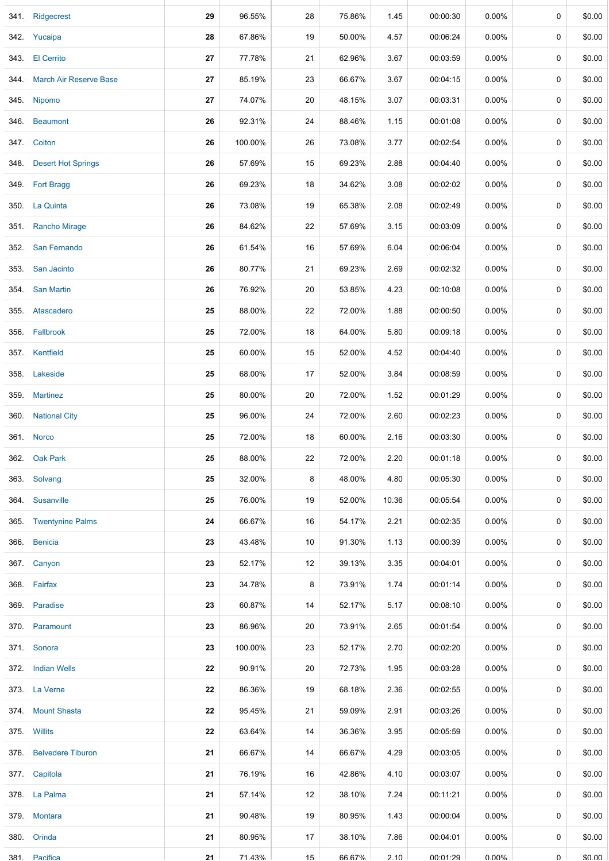| 341 Ridgecrest              | 29 | 96.55%  | 28     | 75.86%        | 1.45  | 00:00:30 | $0.00\%$ | 0         | \$0.00 |
|-----------------------------|----|---------|--------|---------------|-------|----------|----------|-----------|--------|
| 342. Yucaipa                | 28 | 67.86%  | $19$   | 50.00%        | 4.57  | 00:06:24 | 0.00%    | 0         | \$0.00 |
| 343. El Cerrito             | 27 | 77.78%  | 21     | 62.96%        | 3.67  | 00:03:59 | $0.00\%$ | 0         | \$0.00 |
| 344. March Air Reserve Base | 27 | 85.19%  | 23     | 66.67%        | 3.67  | 00:04:15 | 0.00%    | 0         | \$0.00 |
| 345. Nipomo                 | 27 | 74.07%  | 20     | 48.15%        | 3.07  | 00:03:31 | $0.00\%$ | 0         | \$0.00 |
| 346. Beaumont               | 26 | 92.31%  | 24     | 88.46%        | 1.15  | 00:01:08 | 0.00%    | $\pmb{0}$ | \$0.00 |
| 347. Colton                 | 26 | 100.00% | $26\,$ | 73.08%        | 3.77  | 00:02:54 | 0.00%    | 0         | \$0.00 |
| 348. Desert Hot Springs     | 26 | 57.69%  | 15     | 69.23%        | 2.88  | 00:04:40 | $0.00\%$ | 0         | \$0.00 |
| 349. Fort Bragg             | 26 | 69.23%  | 18     | 34.62%        | 3.08  | 00:02:02 | $0.00\%$ | 0         | \$0.00 |
| 350. La Quinta              | 26 | 73.08%  | 19     | 65.38%        | 2.08  | 00:02:49 | $0.00\%$ | 0         | \$0.00 |
| 351. Rancho Mirage          | 26 | 84.62%  | 22     | 57.69%        | 3.15  | 00:03:09 | 0.00%    | 0         | \$0.00 |
| 352. San Fernando           | 26 | 61.54%  | 16     | 57.69%        | 6.04  | 00:06:04 | $0.00\%$ | 0         | \$0.00 |
| 353. San Jacinto            | 26 | 80.77%  | 21     | 69.23%        | 2.69  | 00:02:32 | 0.00%    | $\pmb{0}$ | \$0.00 |
| 354. San Martin             | 26 | 76.92%  | $20\,$ | 53.85%        | 4.23  | 00:10:08 | 0.00%    | 0         | \$0.00 |
| 355. Atascadero             | 25 | 88.00%  | 22     | 72.00%        | 1.88  | 00:00:50 | $0.00\%$ | 0         | \$0.00 |
| 356. Fallbrook              | 25 | 72.00%  | 18     | 64.00%        | 5.80  | 00:09:18 | $0.00\%$ | 0         | \$0.00 |
| 357. Kentfield              | 25 | 60.00%  | 15     | 52.00%        | 4.52  | 00:04:40 | $0.00\%$ | 0         | \$0.00 |
| 358. Lakeside               | 25 | 68.00%  | 17     | 52.00%        | 3.84  | 00:08:59 | 0.00%    | 0         | \$0.00 |
| 359. Martinez               | 25 | 80.00%  | 20     | 72.00%        | 1.52  | 00:01:29 | $0.00\%$ | 0         | \$0.00 |
| 360 National City           | 25 | 96.00%  | 24     | 72.00%        | 2.60  | 00:02:23 | $0.00\%$ | $\pmb{0}$ | \$0.00 |
| 361. Norco                  | 25 | 72.00%  | 18     | 60.00%        | 2.16  | 00:03:30 | 0.00%    | 0         | \$0.00 |
| 362. Oak Park               | 25 | 88.00%  | 22     | 72.00%        | 2.20  | 00:01:18 | $0.00\%$ | 0         | \$0.00 |
| 363. Solvang                | 25 | 32.00%  | 8      | 48.00%        | 4.80  | 00:05:30 | $0.00\%$ | 0         | \$0.00 |
| 364. Susanville             | 25 | 76.00%  | 19     | 52.00%        | 10.36 | 00:05:54 | $0.00\%$ | 0         | \$0.00 |
| 365. Twentynine Palms       | 24 | 66.67%  | 16     | 54.17%        | 2.21  | 00:02:35 | 0.00%    | 0         | \$0.00 |
| 366. Benicia                | 23 | 43.48%  | 10     | 91.30%        | 1.13  | 00:00:39 | $0.00\%$ | 0         | \$0.00 |
| 367. Canyon                 | 23 | 52.17%  | 12     | 39.13%        | 3.35  | 00:04:01 | $0.00\%$ | 0         | \$0.00 |
| 368. Fairfax                | 23 | 34.78%  | 8      | 73.91%        | 1.74  | 00:01:14 | $0.00\%$ | 0         | \$0.00 |
| 369. Paradise               | 23 | 60.87%  | 14     | 52.17%        | 5.17  | 00:08:10 | $0.00\%$ | 0         | \$0.00 |
| 370. Paramount              | 23 | 86.96%  | 20     | 73.91%        | 2.65  | 00:01:54 | $0.00\%$ | 0         | \$0.00 |
| 371. Sonora                 | 23 | 100.00% | 23     | 52.17%        | 2.70  | 00:02:20 | $0.00\%$ | 0         | \$0.00 |
| 372. Indian Wells           | 22 | 90.91%  | 20     | 72.73%        | 1.95  | 00:03:28 | $0.00\%$ | 0         | \$0.00 |
| 373. La Verne               | 22 | 86.36%  | 19     | 68.18%        | 2.36  | 00:02:55 | $0.00\%$ | 0         | \$0.00 |
| 374. Mount Shasta           | 22 | 95.45%  | 21     | 59.09%        | 2.91  | 00:03:26 | $0.00\%$ | 0         | \$0.00 |
| 375. Willits                | 22 | 63.64%  | 14     | 36.36%        | 3.95  | 00:05:59 | $0.00\%$ | 0         | \$0.00 |
| 376. Belvedere Tiburon      | 21 | 66.67%  | 14     | 66.67%        | 4.29  | 00:03:05 | $0.00\%$ | 0         | \$0.00 |
| 377. Capitola               | 21 | 76.19%  | 16     | 42.86%        | 4.10  | 00:03:07 | $0.00\%$ | 0         | \$0.00 |
| 378. La Palma               | 21 | 57.14%  | 12     | 38.10%        | 7.24  | 00:11:21 | $0.00\%$ | 0         | \$0.00 |
| 379. Montara                | 21 | 90.48%  | 19     | 80.95%        | 1.43  | 00:00:04 | $0.00\%$ | 0         | \$0.00 |
| 380. Orinda                 | 21 | 80.95%  | 17     | 38.10%        | 7.86  | 00:04:01 | 0.00%    | 0         | \$0.00 |
| 381 Pacifica                | 21 | 71 43%  | 15     | <b>66 67%</b> | 210   | 00.01.29 | ሀ ሀሀል    | $\cap$    | ደሀ ሀሀ  |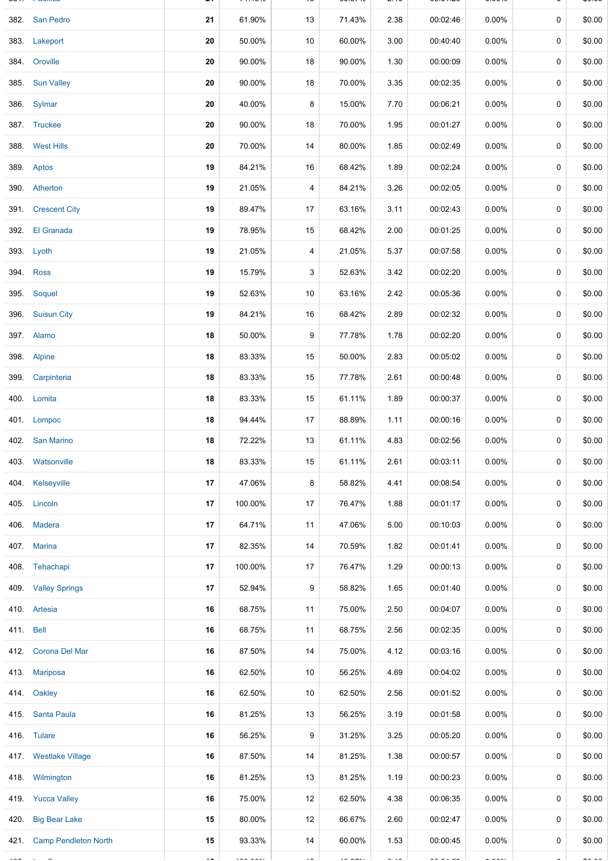|           | 382. San Pedro            | 21 | 61.90%   | 13          | 71.43%             | 2.38                 | 00:02:46                                                                                                                                             | $0.00\%$      | 0           | \$0.00 |
|-----------|---------------------------|----|----------|-------------|--------------------|----------------------|------------------------------------------------------------------------------------------------------------------------------------------------------|---------------|-------------|--------|
|           | 383. Lakeport             | 20 | 50.00%   | 10          | 60.00%             | 3.00                 | 00:40:40                                                                                                                                             | 0.00%         | 0           | \$0.00 |
|           | 384. Oroville             | 20 | 90.00%   | 18          | 90.00%             | 1.30                 | 00:00:09                                                                                                                                             | $0.00\%$      | 0           | \$0.00 |
|           | 385. Sun Valley           | 20 | 90.00%   | 18          | 70.00%             | 3.35                 | 00:02:35                                                                                                                                             | 0.00%         | 0           | \$0.00 |
|           | 386. Sylmar               | 20 | 40.00%   | 8           | 15.00%             | 7.70                 | 00:06:21                                                                                                                                             | 0.00%         | 0           | \$0.00 |
|           | 387. Truckee              | 20 | 90.00%   | 18          | 70.00%             | 1.95                 | 00:01:27                                                                                                                                             | $0.00\%$      | 0           | \$0.00 |
|           | 388. West Hills           | 20 | 70.00%   | 14          | 80.00%             | 1.85                 | 00:02:49                                                                                                                                             | $0.00\%$      | 0           | \$0.00 |
|           | 389. Aptos                | 19 | 84.21%   | 16          | 68.42%             | 1.89                 | 00:02:24                                                                                                                                             | $0.00\%$      | 0           | \$0.00 |
|           | 390. Atherton             | 19 | 21.05%   | 4           | 84.21%             | 3.26                 | 00:02:05                                                                                                                                             | $0.00\%$      | 0           | \$0.00 |
|           | 391. Crescent City        | 19 | 89.47%   | 17          | 63.16%             | 3.11                 | 00:02:43                                                                                                                                             | $0.00\%$      | 0           | \$0.00 |
|           | 392. El Granada           | 19 | 78.95%   | 15          | 68.42%             | 2.00                 | 00:01:25                                                                                                                                             | 0.00%         | 0           | \$0.00 |
|           | 393. Lyoth                | 19 | 21.05%   | 4           | 21.05%             | 5.37                 | 00:07:58                                                                                                                                             | $0.00\%$      | 0           | \$0.00 |
|           | 394. Ross                 | 19 | 15.79%   | 3           | 52.63%             | 3.42                 | 00:02:20                                                                                                                                             | $0.00\%$      | 0           | \$0.00 |
|           | 395. Soquel               | 19 | 52.63%   | 10          | 63.16%             | 2.42                 | 00:05:36                                                                                                                                             | 0.00%         | 0           | \$0.00 |
|           | 396. Suisun City          | 19 | 84.21%   | 16          | 68.42%             | 2.89                 | 00:02:32                                                                                                                                             | $0.00\%$      | 0           | \$0.00 |
|           | 397. Alamo                | 18 | 50.00%   | 9           | 77.78%             | 1.78                 | 00:02:20                                                                                                                                             | $0.00\%$      | 0           | \$0.00 |
|           | 398. Alpine               | 18 | 83.33%   | 15          | 50.00%             | 2.83                 | 00:05:02                                                                                                                                             | $0.00\%$      | 0           | \$0.00 |
|           | 399. Carpinteria          | 18 | 83.33%   | 15          | 77.78%             | 2.61                 | 00:00:48                                                                                                                                             | $0.00\%$      | 0           | \$0.00 |
|           | 400. Lomita               | 18 | 83.33%   | 15          | 61.11%             | 1.89                 | 00:00:37                                                                                                                                             | $0.00\%$      | 0           | \$0.00 |
|           | 401. Lompoc               | 18 | 94.44%   | 17          | 88.89%             | 1.11                 | 00:00:16                                                                                                                                             | 0.00%         | $\mathbf 0$ | \$0.00 |
|           | 402. San Marino           | 18 | 72.22%   | 13          | 61.11%             | 4.83                 | 00:02:56                                                                                                                                             | $0.00\%$      | 0           | \$0.00 |
|           | 403. Watsonville          | 18 | 83.33%   | 15          | 61.11%             | 2.61                 | 00:03:11                                                                                                                                             | $0.00\%$      | 0           | \$0.00 |
|           | 404. Kelseyville          | 17 | 47.06%   | 8           | 58.82%             | 4.41                 | 00:08:54                                                                                                                                             | 0.00%         | 0           | \$0.00 |
|           | 405. Lincoln              | 17 | 100.00%  | 17          | 76.47%             | 1.88                 | 00:01:17                                                                                                                                             | $0.00\%$      | 0           | \$0.00 |
|           | 406. Madera               | 17 | 64.71%   | 11          | 47.06%             | 5.00                 | 00:10:03                                                                                                                                             | $0.00\%$      | 0           | \$0.00 |
|           | 407. Marina               | 17 | 82.35%   | 14          | 70.59%             | 1.82                 | 00:01:41                                                                                                                                             | $0.00\%$      | 0           | \$0.00 |
|           | 408. Tehachapi            | 17 | 100.00%  | 17          | 76.47%             | 1.29                 | 00:00:13                                                                                                                                             | $0.00\%$      | 0           | \$0.00 |
|           | 409. Valley Springs       | 17 | 52.94%   | 9           | 58.82%             | 1.65                 | 00:01:40                                                                                                                                             | 0.00%         | 0           | \$0.00 |
|           | 410. Artesia              | 16 | 68.75%   | 11          | 75.00%             | 2.50                 | 00:04:07                                                                                                                                             | 0.00%         | $\mathbf 0$ | \$0.00 |
| 411. Bell |                           | 16 | 68.75%   | 11          | 68.75%             | 2.56                 | 00:02:35                                                                                                                                             | 0.00%         | 0           | \$0.00 |
|           | 412. Corona Del Mar       | 16 | 87.50%   | 14          | 75.00%             | 4.12                 | 00:03:16                                                                                                                                             | $0.00\%$      | 0           | \$0.00 |
|           | 413. Mariposa             | 16 | 62.50%   | 10          | 56.25%             | 4.69                 | 00:04:02                                                                                                                                             | $0.00\%$      | 0           | \$0.00 |
|           | 414. Oakley               | 16 | 62.50%   | 10          | 62.50%             | 2.56                 | 00:01:52                                                                                                                                             | $0.00\%$      | 0           | \$0.00 |
|           | 415 Santa Paula           | 16 | 81.25%   | 13          | 56.25%             | 3.19                 | 00:01:58                                                                                                                                             | $0.00\%$      | 0           | \$0.00 |
|           | 416. Tulare               | 16 | 56.25%   | 9           | 31.25%             | 3.25                 | 00:05:20                                                                                                                                             | $0.00\%$      | 0           | \$0.00 |
|           | 417. Westlake Village     | 16 | 87.50%   | 14          | 81.25%             | 1.38                 | 00:00:57                                                                                                                                             | 0.00%         | 0           | \$0.00 |
|           | 418. Wilmington           | 16 | 81.25%   | 13          | 81.25%             | 1.19                 | 00:00:23                                                                                                                                             | 0.00%         | 0           | \$0.00 |
|           | 419. Yucca Valley         | 16 | 75.00%   | 12          | 62.50%             | 4.38                 | 00:06:35                                                                                                                                             | $0.00\%$      | 0           | \$0.00 |
|           | 420. Big Bear Lake        | 15 | 80.00%   | 12          | 66.67%             | 2.60                 | 00:02:47                                                                                                                                             | $0.00\%$      | 0           | \$0.00 |
|           | 421. Camp Pendleton North | 15 | 93.33%   | 14          | 60.00%             | 1.53                 | 00:00:45                                                                                                                                             | $0.00\%$      | 0           | \$0.00 |
|           |                           |    | المحماضة | $\epsilon=$ | $\cdot$ - $ \cdot$ | $\sim$ $\sim$ $\sim$ | $\frac{1}{2} \left( \frac{1}{2} \right) \left( \frac{1}{2} \right) \left( \frac{1}{2} \right) \left( \frac{1}{2} \right) \left( \frac{1}{2} \right)$ | $\frac{1}{2}$ |             |        |

381. Pacifica **21** 71.43% 15 66.67% 2.10 00:01:29 0.00% 0 \$0.00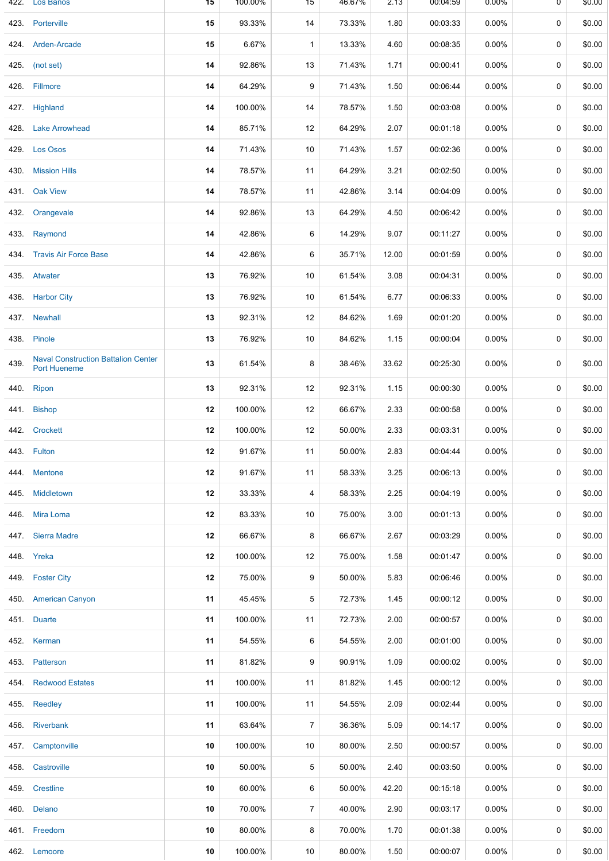| 422. | Los Banos                                                  | 15 | 100.00% | 15             | 46.67% | 2.13  | 00:04:59 | $0.00\%$ | 0           | \$0.00 |
|------|------------------------------------------------------------|----|---------|----------------|--------|-------|----------|----------|-------------|--------|
|      | 423. Porterville                                           | 15 | 93.33%  | 14             | 73.33% | 1.80  | 00:03:33 | $0.00\%$ | 0           | \$0.00 |
|      | 424. Arden-Arcade                                          | 15 | 6.67%   | $\mathbf{1}$   | 13.33% | 4.60  | 00:08:35 | 0.00%    | $\mathbf 0$ | \$0.00 |
|      | 425. (not set)                                             | 14 | 92.86%  | 13             | 71.43% | 1.71  | 00:00:41 | $0.00\%$ | $\mathbf 0$ | \$0.00 |
|      | 426. Fillmore                                              | 14 | 64.29%  | 9              | 71.43% | 1.50  | 00:06:44 | 0.00%    | 0           | \$0.00 |
|      | 427. Highland                                              | 14 | 100.00% | 14             | 78.57% | 1.50  | 00:03:08 | 0.00%    | 0           | \$0.00 |
|      | 428. Lake Arrowhead                                        | 14 | 85.71%  | 12             | 64.29% | 2.07  | 00:01:18 | 0.00%    | 0           | \$0.00 |
|      | 429. Los Osos                                              | 14 | 71.43%  | 10             | 71.43% | 1.57  | 00:02:36 | 0.00%    | 0           | \$0.00 |
| 430. | <b>Mission Hills</b>                                       | 14 | 78.57%  | 11             | 64.29% | 3.21  | 00:02:50 | 0.00%    | 0           | \$0.00 |
|      | 431. Oak View                                              | 14 | 78.57%  | 11             | 42.86% | 3.14  | 00:04:09 | 0.00%    | $\mathbf 0$ | \$0.00 |
| 432. | Orangevale                                                 | 14 | 92.86%  | 13             | 64.29% | 4.50  | 00:06:42 | 0.00%    | $\mathbf 0$ | \$0.00 |
|      | 433. Raymond                                               | 14 | 42.86%  | 6              | 14.29% | 9.07  | 00:11:27 | 0.00%    | 0           | \$0.00 |
|      | 434. Travis Air Force Base                                 | 14 | 42.86%  | 6              | 35.71% | 12.00 | 00:01:59 | 0.00%    | 0           | \$0.00 |
|      | 435. Atwater                                               | 13 | 76.92%  | 10             | 61.54% | 3.08  | 00:04:31 | 0.00%    | 0           | \$0.00 |
|      | 436. Harbor City                                           | 13 | 76.92%  | 10             | 61.54% | 6.77  | 00:06:33 | 0.00%    | 0           | \$0.00 |
|      | 437. Newhall                                               | 13 | 92.31%  | 12             | 84.62% | 1.69  | 00:01:20 | 0.00%    | 0           | \$0.00 |
|      | 438. Pinole                                                | 13 | 76.92%  | 10             | 84.62% | 1.15  | 00:00:04 | 0.00%    | 0           | \$0.00 |
| 439. | <b>Naval Construction Battalion Center</b><br>Port Hueneme | 13 | 61.54%  | 8              | 38.46% | 33.62 | 00:25:30 | 0.00%    | $\mathbf 0$ | \$0.00 |
|      | 440. Ripon                                                 | 13 | 92.31%  | 12             | 92.31% | 1.15  | 00:00:30 | $0.00\%$ | $\mathbf 0$ | \$0.00 |
|      | 441. Bishop                                                | 12 | 100.00% | 12             | 66.67% | 2.33  | 00:00:58 | 0.00%    | $\mathbf 0$ | \$0.00 |
|      | 442. Crockett                                              | 12 | 100.00% | 12             | 50.00% | 2.33  | 00:03:31 | 0.00%    | $\mathbf 0$ | \$0.00 |
|      | 443. Fulton                                                | 12 | 91.67%  | 11             | 50.00% | 2.83  | 00:04:44 | 0.00%    | 0           | \$0.00 |
|      | 444. Mentone                                               | 12 | 91.67%  | 11             | 58.33% | 3.25  | 00:06:13 | 0.00%    | $\mathbf 0$ | \$0.00 |
|      | 445 Middletown                                             | 12 | 33.33%  | 4              | 58.33% | 2.25  | 00:04:19 | 0.00%    | 0           | \$0.00 |
|      | 446. Mira Loma                                             | 12 | 83.33%  | 10             | 75.00% | 3.00  | 00:01:13 | 0.00%    | 0           | \$0.00 |
|      | 447 Sierra Madre                                           | 12 | 66.67%  | 8              | 66.67% | 2.67  | 00:03:29 | $0.00\%$ | 0           | \$0.00 |
|      | 448. Yreka                                                 | 12 | 100.00% | 12             | 75.00% | 1.58  | 00:01:47 | $0.00\%$ | 0           | \$0.00 |
|      | 449. Foster City                                           | 12 | 75.00%  | 9              | 50.00% | 5.83  | 00:06:46 | $0.00\%$ | $\mathbf 0$ | \$0.00 |
|      | 450. American Canyon                                       | 11 | 45.45%  | 5              | 72.73% | 1.45  | 00:00:12 | $0.00\%$ | $\mathbf 0$ | \$0.00 |
|      | 451. Duarte                                                | 11 | 100.00% | 11             | 72.73% | 2.00  | 00:00:57 | 0.00%    | 0           | \$0.00 |
|      | 452. Kerman                                                | 11 | 54.55%  | 6              | 54.55% | 2.00  | 00:01:00 | 0.00%    | 0           | \$0.00 |
|      | 453. Patterson                                             | 11 | 81.82%  | 9              | 90.91% | 1.09  | 00:00:02 | 0.00%    | 0           | \$0.00 |
|      | 454. Redwood Estates                                       | 11 | 100.00% | 11             | 81.82% | 1.45  | 00:00:12 | $0.00\%$ | 0           | \$0.00 |
|      | 455. Reedley                                               | 11 | 100.00% | 11             | 54.55% | 2.09  | 00:02:44 | $0.00\%$ | 0           | \$0.00 |
|      | 456. Riverbank                                             | 11 | 63.64%  | $\overline{7}$ | 36.36% | 5.09  | 00:14:17 | 0.00%    | $\mathbf 0$ | \$0.00 |
|      | 457. Camptonville                                          | 10 | 100.00% | 10             | 80.00% | 2.50  | 00:00:57 | $0.00\%$ | 0           | \$0.00 |
|      | 458. Castroville                                           | 10 | 50.00%  | 5              | 50.00% | 2.40  | 00:03:50 | $0.00\%$ | 0           | \$0.00 |
|      | 459. Crestline                                             | 10 | 60.00%  | 6              | 50.00% | 42.20 | 00:15:18 | 0.00%    | 0           | \$0.00 |
|      | 460. Delano                                                | 10 | 70.00%  | $\overline{7}$ | 40.00% | 2.90  | 00:03:17 | 0.00%    | 0           | \$0.00 |
|      | 461. Freedom                                               | 10 | 80.00%  | 8              | 70.00% | 1.70  | 00:01:38 | $0.00\%$ | 0           | \$0.00 |
|      | 462. Lemoore                                               | 10 | 100.00% | 10             | 80.00% | 1.50  | 00:00:07 | $0.00\%$ | 0           | \$0.00 |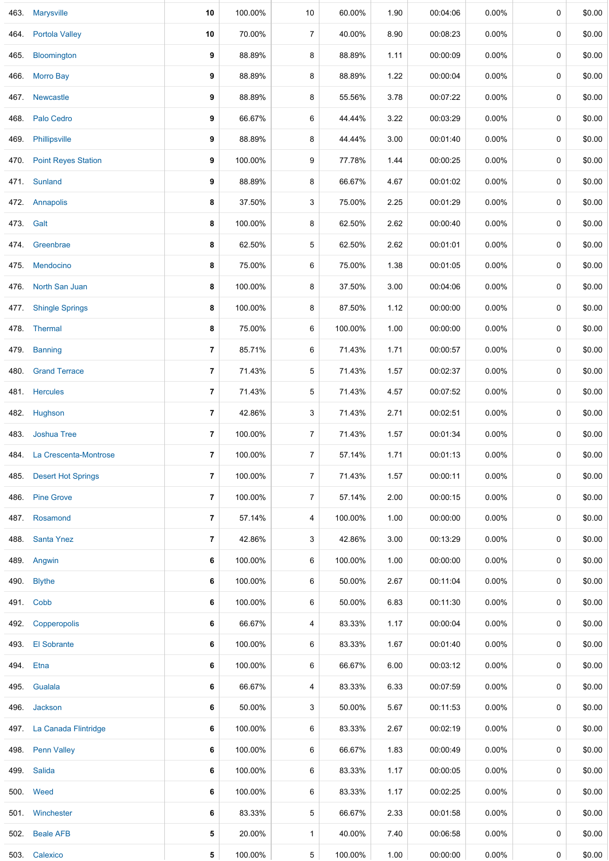|           | 463. Marysville            | 10             | 100.00% | 10             | 60.00%  | 1.90 | 00:04:06 | $0.00\%$ | 0           | \$0.00 |
|-----------|----------------------------|----------------|---------|----------------|---------|------|----------|----------|-------------|--------|
|           | 464. Portola Valley        | 10             | 70.00%  | 7              | 40.00%  | 8.90 | 00:08:23 | 0.00%    | $\mathbf 0$ | \$0.00 |
| 465.      | Bloomington                | 9              | 88.89%  | 8              | 88.89%  | 1.11 | 00:00:09 | $0.00\%$ | 0           | \$0.00 |
| 466.      | <b>Morro Bay</b>           | 9              | 88.89%  | 8              | 88.89%  | 1.22 | 00:00:04 | 0.00%    | 0           | \$0.00 |
|           | 467. Newcastle             | 9              | 88.89%  | 8              | 55.56%  | 3.78 | 00:07:22 | 0.00%    | 0           | \$0.00 |
|           | 468. Palo Cedro            | 9              | 66.67%  | 6              | 44.44%  | 3.22 | 00:03:29 | $0.00\%$ | $\mathbf 0$ | \$0.00 |
| 469.      | Phillipsville              | 9              | 88.89%  | 8              | 44.44%  | 3.00 | 00:01:40 | 0.00%    | 0           | \$0.00 |
|           | 470. Point Reyes Station   | 9              | 100.00% | 9              | 77.78%  | 1.44 | 00:00:25 | $0.00\%$ | 0           | \$0.00 |
|           | 471. Sunland               | 9              | 88.89%  | 8              | 66.67%  | 4.67 | 00:01:02 | $0.00\%$ | 0           | \$0.00 |
|           | 472 Annapolis              | 8              | 37.50%  | 3              | 75.00%  | 2.25 | 00:01:29 | $0.00\%$ | 0           | \$0.00 |
| 473. Galt |                            | 8              | 100.00% | 8              | 62.50%  | 2.62 | 00:00:40 | 0.00%    | $\mathbf 0$ | \$0.00 |
|           | 474. Greenbrae             | 8              | 62.50%  | 5              | 62.50%  | 2.62 | 00:01:01 | 0.00%    | 0           | \$0.00 |
|           | 475. Mendocino             | 8              | 75.00%  | 6              | 75.00%  | 1.38 | 00:01:05 | $0.00\%$ | $\mathbf 0$ | \$0.00 |
| 476.      | North San Juan             | 8              | 100.00% | 8              | 37.50%  | 3.00 | 00:04:06 | 0.00%    | 0           | \$0.00 |
|           | 477. Shingle Springs       | 8              | 100.00% | 8              | 87.50%  | 1.12 | 00:00:00 | $0.00\%$ | 0           | \$0.00 |
|           | 478. Thermal               | 8              | 75.00%  | 6              | 100.00% | 1.00 | 00:00:00 | $0.00\%$ | $\pmb{0}$   | \$0.00 |
|           | 479. Banning               | 7              | 85.71%  | 6              | 71.43%  | 1.71 | 00:00:57 | $0.00\%$ | 0           | \$0.00 |
| 480.      | <b>Grand Terrace</b>       | 7              | 71.43%  | 5              | 71.43%  | 1.57 | 00:02:37 | $0.00\%$ | $\mathbf 0$ | \$0.00 |
|           | 481. Hercules              | 7              | 71.43%  | 5              | 71.43%  | 4.57 | 00:07:52 | $0.00\%$ | 0           | \$0.00 |
|           | 482. Hughson               | 7              | 42.86%  | 3              | 71.43%  | 2.71 | 00:02:51 | $0.00\%$ | 0           | \$0.00 |
| 483.      | Joshua Tree                | $\overline{7}$ | 100.00% | $\overline{7}$ | 71.43%  | 1.57 | 00:01:34 | 0.00%    | 0           | \$0.00 |
|           | 484. La Crescenta-Montrose | 7              | 100.00% | $\overline{7}$ | 57.14%  | 1.71 | 00:01:13 | 0.00%    | 0           | \$0.00 |
|           | 485. Desert Hot Springs    | 7              | 100.00% | $\overline{7}$ | 71.43%  | 1.57 | 00:00:11 | $0.00\%$ | $\mathbf 0$ | \$0.00 |
|           | 486. Pine Grove            | 7              | 100.00% | $\overline{7}$ | 57.14%  | 2.00 | 00:00:15 | $0.00\%$ | 0           | \$0.00 |
|           | 487. Rosamond              | 7              | 57.14%  | 4              | 100.00% | 1.00 | 00:00:00 | 0.00%    | $\mathbf 0$ | \$0.00 |
| 488.      | <b>Santa Ynez</b>          | 7              | 42.86%  | 3              | 42.86%  | 3.00 | 00:13:29 | $0.00\%$ | 0           | \$0.00 |
|           | 489. Angwin                | 6              | 100.00% | 6              | 100.00% | 1.00 | 00:00:00 | $0.00\%$ | 0           | \$0.00 |
|           | 490. Blythe                | 6              | 100.00% | 6              | 50.00%  | 2.67 | 00:11:04 | 0.00%    | 0           | \$0.00 |
|           | 491. Cobb                  | 6              | 100.00% | 6              | 50.00%  | 6.83 | 00:11:30 | $0.00\%$ | 0           | \$0.00 |
| 492.      | Copperopolis               | 6              | 66.67%  | 4              | 83.33%  | 1.17 | 00:00:04 | $0.00\%$ | 0           | \$0.00 |
|           | 493. El Sobrante           | 6              | 100.00% | 6              | 83.33%  | 1.67 | 00:01:40 | $0.00\%$ | 0           | \$0.00 |
| 494. Etna |                            | 6              | 100.00% | 6              | 66.67%  | 6.00 | 00:03:12 | $0.00\%$ | $\mathbf 0$ | \$0.00 |
|           | 495. Gualala               | 6              | 66.67%  | 4              | 83.33%  | 6.33 | 00:07:59 | $0.00\%$ | 0           | \$0.00 |
|           | 496. Jackson               | 6              | 50.00%  | 3              | 50.00%  | 5.67 | 00:11:53 | $0.00\%$ | 0           | \$0.00 |
|           | 497. La Canada Flintridge  | 6              | 100.00% | 6              | 83.33%  | 2.67 | 00:02:19 | $0.00\%$ | 0           | \$0.00 |
|           | 498. Penn Valley           | 6              | 100.00% | 6              | 66.67%  | 1.83 | 00:00:49 | $0.00\%$ | $\mathbf 0$ | \$0.00 |
|           | 499. Salida                | 6              | 100.00% | 6              | 83.33%  | 1.17 | 00:00:05 | $0.00\%$ | 0           | \$0.00 |
|           | 500. Weed                  | 6              | 100.00% | 6              | 83.33%  | 1.17 | 00:02:25 | $0.00\%$ | 0           | \$0.00 |
|           | 501. Winchester            | 6              | 83.33%  | 5              | 66.67%  | 2.33 | 00:01:58 | $0.00\%$ | $\mathbf 0$ | \$0.00 |
|           | 502. Beale AFB             | 5              | 20.00%  | $\mathbf{1}$   | 40.00%  | 7.40 | 00:06:58 | $0.00\%$ | 0           | \$0.00 |
|           | 503. Calexico              | 5              | 100.00% | 5              | 100.00% | 1.00 | 00:00:00 | $0.00\%$ | 0           | \$0.00 |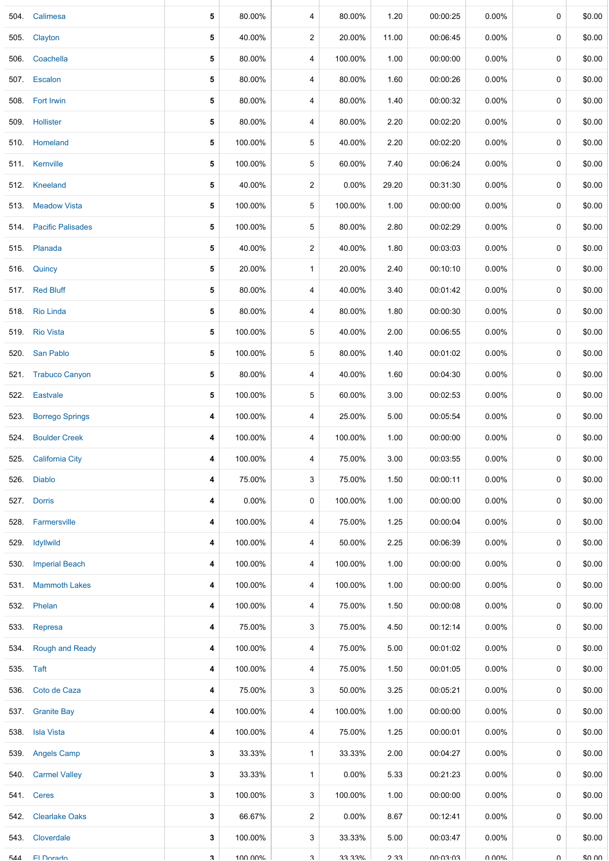|           | 504. Calimesa          | 5            | 80.00%  | 4              | 80.00%   | 1.20  | 00:00:25               | 0.00%    | 0           | \$0.00               |
|-----------|------------------------|--------------|---------|----------------|----------|-------|------------------------|----------|-------------|----------------------|
| 505.      | Clayton                | 5            | 40.00%  | $\overline{2}$ | 20.00%   | 11.00 | 00:06:45               | $0.00\%$ | 0           | \$0.00               |
|           | 506. Coachella         | 5            | 80.00%  | 4              | 100.00%  | 1.00  | 00:00:00               | $0.00\%$ | 0           | \$0.00               |
|           | 507. Escalon           | 5            | 80.00%  | 4              | 80.00%   | 1.60  | 00:00:26               | 0.00%    | 0           | \$0.00               |
|           | 508. Fort Irwin        | 5            | 80.00%  | 4              | 80.00%   | 1.40  | 00:00:32               | 0.00%    | 0           | \$0.00               |
|           | 509. Hollister         | 5            | 80.00%  | 4              | 80.00%   | 2.20  | 00:02:20               | $0.00\%$ | $\mathbf 0$ | \$0.00               |
|           | 510. Homeland          | 5            | 100.00% | 5              | 40.00%   | 2.20  | 00:02:20               | $0.00\%$ | 0           | \$0.00               |
|           | 511. Kernville         | 5            | 100.00% | 5              | 60.00%   | 7.40  | 00:06:24               | $0.00\%$ | $\mathbf 0$ | \$0.00               |
|           | 512. Kneeland          | 5            | 40.00%  | $\overline{c}$ | 0.00%    | 29.20 | 00:31:30               | $0.00\%$ | 0           | \$0.00               |
|           | 513. Meadow Vista      | 5            | 100.00% | 5              | 100.00%  | 1.00  | 00:00:00               | $0.00\%$ | 0           | \$0.00               |
|           | 514. Pacific Palisades | 5            | 100.00% | 5              | 80.00%   | 2.80  | 00:02:29               | 0.00%    | 0           | \$0.00               |
|           | 515. Planada           | 5            | 40.00%  | $\overline{c}$ | 40.00%   | 1.80  | 00:03:03               | 0.00%    | 0           | \$0.00               |
|           | 516. Quincy            | 5            | 20.00%  | 1              | 20.00%   | 2.40  | 00:10:10               | 0.00%    | 0           | \$0.00               |
|           | 517. Red Bluff         | 5            | 80.00%  | 4              | 40.00%   | 3.40  | 00:01:42               | $0.00\%$ | 0           | \$0.00               |
|           | 518. Rio Linda         | 5            | 80.00%  | 4              | 80.00%   | 1.80  | 00:00:30               | $0.00\%$ | $\mathbf 0$ | \$0.00               |
|           | 519. Rio Vista         | 5            | 100.00% | 5              | 40.00%   | 2.00  | 00:06:55               | $0.00\%$ | 0           | \$0.00               |
|           | 520. San Pablo         | 5            | 100.00% | 5              | 80.00%   | 1.40  | 00:01:02               | $0.00\%$ | 0           | \$0.00               |
|           | 521. Trabuco Canyon    | 5            | 80.00%  | 4              | 40.00%   | 1.60  | 00:04:30               | 0.00%    | 0           | \$0.00               |
|           | 522. Eastvale          | 5            | 100.00% | 5              | 60.00%   | 3.00  | 00:02:53               | 0.00%    | 0           | \$0.00               |
| 523.      | <b>Borrego Springs</b> | 4            | 100.00% | 4              | 25.00%   | 5.00  | 00:05:54               | 0.00%    | 0           | \$0.00               |
|           | 524. Boulder Creek     | 4            | 100.00% | 4              | 100.00%  | 1.00  | 00:00:00               | $0.00\%$ | 0           | \$0.00               |
|           | 525. California City   | 4            | 100.00% | 4              | 75.00%   | 3.00  | 00:03:55               | $0.00\%$ | 0           | \$0.00               |
|           | 526. Diablo            | 4            | 75.00%  | 3              | 75.00%   | 1.50  | 00:00:11               | $0.00\%$ | 0           | \$0.00               |
|           | 527. Dorris            | 4            | 0.00%   | 0              | 100.00%  | 1.00  | 00:00:00               | $0.00\%$ | 0           | \$0.00               |
| 528.      | Farmersville           | 4            | 100.00% | 4              | 75.00%   | 1.25  | 00:00:04               | $0.00\%$ | 0           | \$0.00               |
|           | 529. Idyllwild         | 4            | 100.00% | 4              | 50.00%   | 2.25  | 00:06:39               | $0.00\%$ | 0           | \$0.00               |
|           | 530. Imperial Beach    | 4            | 100.00% | 4              | 100.00%  | 1.00  | 00:00:00               | 0.00%    | $\mathbf 0$ | \$0.00               |
|           | 531. Mammoth Lakes     | 4            | 100.00% | 4              | 100.00%  | 1.00  | 00:00:00               | $0.00\%$ | 0           | \$0.00               |
|           | 532. Phelan            | 4            | 100.00% | 4              | 75.00%   | 1.50  | 00:00:08               | $0.00\%$ | 0           | \$0.00               |
|           | 533. Represa           | 4            | 75.00%  | 3              | 75.00%   | 4.50  | 00:12:14               | $0.00\%$ | 0           | \$0.00               |
|           | 534. Rough and Ready   | 4            | 100.00% | 4              | 75.00%   | 5.00  | 00:01:02               | $0.00\%$ | $\mathbf 0$ | \$0.00               |
| 535. Taft |                        | 4            | 100.00% | 4              | 75.00%   | 1.50  | 00:01:05               | $0.00\%$ | 0           | \$0.00               |
|           | 536. Coto de Caza      | 4            | 75.00%  | 3              | 50.00%   | 3.25  | 00:05:21               | $0.00\%$ | 0           | \$0.00               |
|           | 537. Granite Bay       | 4            | 100.00% | 4              | 100.00%  | 1.00  | 00:00:00               | 0.00%    | 0           | \$0.00               |
|           | 538. Isla Vista        | 4            | 100.00% | 4              | 75.00%   | 1.25  | 00:00:01               | $0.00\%$ | 0           | \$0.00               |
|           | 539. Angels Camp       | 3            | 33.33%  | 1              | 33.33%   | 2.00  | 00:04:27               | $0.00\%$ | 0           | \$0.00               |
|           | 540. Carmel Valley     | 3            | 33.33%  | 1              | $0.00\%$ | 5.33  | 00:21:23               | $0.00\%$ | 0           | \$0.00               |
|           | 541. Ceres             | 3            | 100.00% | 3              | 100.00%  | 1.00  | 00:00:00               | $0.00\%$ | $\mathbf 0$ | \$0.00               |
| 542.      | <b>Clearlake Oaks</b>  | 3            | 66.67%  | $\overline{c}$ | $0.00\%$ | 8.67  | 00:12:41               | $0.00\%$ | 0           | \$0.00               |
| 543.      | Cloverdale             | 3            | 100.00% | 3              | 33.33%   | 5.00  | 00:03:47               | $0.00\%$ | 0           | \$0.00               |
| 544       | <b>El Dorado</b>       | $\mathbf{r}$ | 100 00% | વ              | 33 330   | ววว   | $UU \cdot UJ \cdot UJ$ | U UU0Y   | $\cap$      | $n \cap \mathcal{L}$ |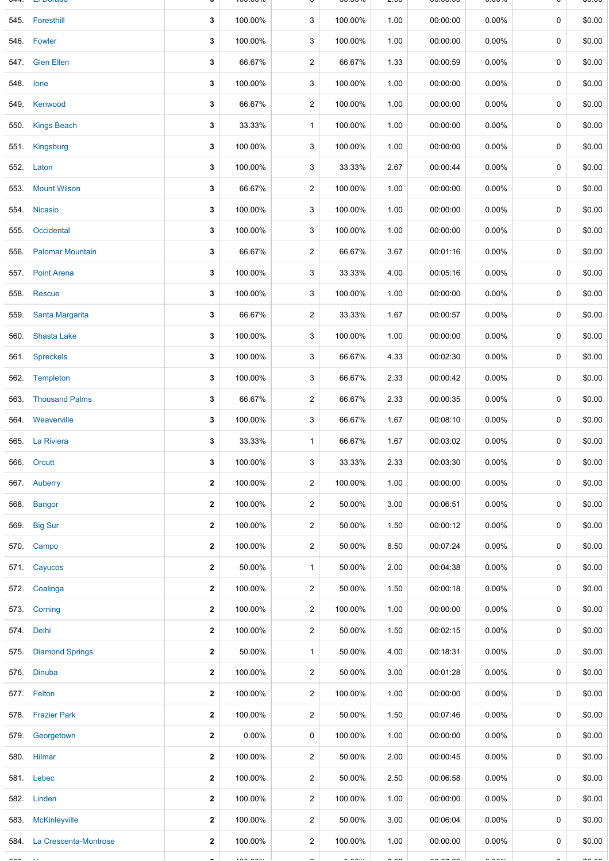|           | Li Dorago                  |              | 100.0070 |                         | <u>JJ.JJ70</u> | ںء   | 00.00.00 | 0.UU /U  |             | ψυ.υυ  |
|-----------|----------------------------|--------------|----------|-------------------------|----------------|------|----------|----------|-------------|--------|
|           | 545. Foresthill            | 3            | 100.00%  | 3                       | 100.00%        | 1.00 | 00:00:00 | $0.00\%$ | $\mathbf 0$ | \$0.00 |
|           | 546. Fowler                | 3            | 100.00%  | 3                       | 100.00%        | 1.00 | 00:00:00 | 0.00%    | 0           | \$0.00 |
|           | 547. Glen Ellen            | 3            | 66.67%   | $\overline{\mathbf{c}}$ | 66.67%         | 1.33 | 00:00:59 | 0.00%    | 0           | \$0.00 |
| 548. lone |                            | 3            | 100.00%  | 3                       | 100.00%        | 1.00 | 00:00:00 | 0.00%    | $\mathbf 0$ | \$0.00 |
|           | 549. Kenwood               | 3            | 66.67%   | $\overline{2}$          | 100.00%        | 1.00 | 00:00:00 | 0.00%    | 0           | \$0.00 |
|           | 550. Kings Beach           | 3            | 33.33%   | $\mathbf{1}$            | 100.00%        | 1.00 | 00:00:00 | 0.00%    | $\mathbf 0$ | \$0.00 |
|           | 551. Kingsburg             | 3            | 100.00%  | 3                       | 100.00%        | 1.00 | 00:00:00 | 0.00%    | 0           | \$0.00 |
|           | 552. Laton                 | 3            | 100.00%  | 3                       | 33.33%         | 2.67 | 00:00:44 | 0.00%    | $\mathbf 0$ | \$0.00 |
| 553.      | <b>Mount Wilson</b>        | 3            | 66.67%   | $\overline{2}$          | 100.00%        | 1.00 | 00:00:00 | 0.00%    | 0           | \$0.00 |
|           | 554. Nicasio               | 3            | 100.00%  | 3                       | 100.00%        | 1.00 | 00:00:00 | 0.00%    | 0           | \$0.00 |
|           | 555. Occidental            | 3            | 100.00%  | 3                       | 100.00%        | 1.00 | 00:00:00 | 0.00%    | $\mathbf 0$ | \$0.00 |
|           | 556. Palomar Mountain      | 3            | 66.67%   | $\overline{2}$          | 66.67%         | 3.67 | 00:01:16 | 0.00%    | 0           | \$0.00 |
|           | 557. Point Arena           | 3            | 100.00%  | 3                       | 33.33%         | 4.00 | 00:05:16 | 0.00%    | $\mathbf 0$ | \$0.00 |
|           | 558. Rescue                | 3            | 100.00%  | 3                       | 100.00%        | 1.00 | 00:00:00 | 0.00%    | 0           | \$0.00 |
|           | 559. Santa Margarita       | 3            | 66.67%   | 2                       | 33.33%         | 1.67 | 00:00:57 | 0.00%    | $\mathbf 0$ | \$0.00 |
|           | 560. Shasta Lake           | 3            | 100.00%  | 3                       | 100.00%        | 1.00 | 00:00:00 | 0.00%    | 0           | \$0.00 |
|           | 561. Spreckels             | 3            | 100.00%  | 3                       | 66.67%         | 4.33 | 00:02:30 | 0.00%    | 0           | \$0.00 |
|           | 562. Templeton             | 3            | 100.00%  | 3                       | 66.67%         | 2.33 | 00:00:42 | 0.00%    | 0           | \$0.00 |
|           | 563. Thousand Palms        | 3            | 66.67%   | $\overline{2}$          | 66.67%         | 2.33 | 00:00:35 | 0.00%    | 0           | \$0.00 |
|           | 564. Weaverville           | 3            | 100.00%  | 3                       | 66.67%         | 1.67 | 00:08:10 | 0.00%    | $\mathbf 0$ | \$0.00 |
|           | 565. La Riviera            | 3            | 33.33%   | $\mathbf{1}$            | 66.67%         | 1.67 | 00:03:02 | 0.00%    | 0           | \$0.00 |
|           | 566. Orcutt                | 3            | 100.00%  | 3                       | 33.33%         | 2.33 | 00:03:30 | $0.00\%$ | 0           | \$0.00 |
|           | 567. Auberry               | $\mathbf{2}$ | 100.00%  | $\overline{2}$          | 100.00%        | 1.00 | 00:00:00 | $0.00\%$ | $\mathbf 0$ | \$0.00 |
|           | 568. Bangor                | $\mathbf{2}$ | 100.00%  | $\overline{a}$          | 50.00%         | 3.00 | 00:06:51 | $0.00\%$ | 0           | \$0.00 |
|           | 569. Big Sur               | $\mathbf{2}$ | 100.00%  | 2                       | 50.00%         | 1.50 | 00:00:12 | $0.00\%$ | 0           | \$0.00 |
|           | 570. Campo                 | $\mathbf{2}$ | 100.00%  | $\overline{c}$          | 50.00%         | 8.50 | 00:07:24 | 0.00%    | 0           | \$0.00 |
|           | 571. Cayucos               | $\mathbf{2}$ | 50.00%   | $\mathbf{1}$            | 50.00%         | 2.00 | 00:04:38 | 0.00%    | $\mathbf 0$ | \$0.00 |
|           | 572. Coalinga              | $\mathbf{2}$ | 100.00%  | $\overline{c}$          | 50.00%         | 1.50 | 00:00:18 | 0.00%    | 0           | \$0.00 |
|           | 573. Corning               | 2            | 100.00%  | $\overline{c}$          | 100.00%        | 1.00 | 00:00:00 | 0.00%    | 0           | \$0.00 |
|           | 574. Delhi                 | $\mathbf{2}$ | 100.00%  | $\overline{2}$          | 50.00%         | 1.50 | 00:02:15 | 0.00%    | 0           | \$0.00 |
|           | 575. Diamond Springs       | $\mathbf{2}$ | 50.00%   | $\mathbf{1}$            | 50.00%         | 4.00 | 00:18:31 | $0.00\%$ | 0           | \$0.00 |
|           | 576. Dinuba                | $\mathbf 2$  | 100.00%  | 2                       | 50.00%         | 3.00 | 00:01:28 | 0.00%    | 0           | \$0.00 |
|           | 577. Felton                | $\mathbf{2}$ | 100.00%  | $\overline{2}$          | 100.00%        | 1.00 | 00:00:00 | 0.00%    | 0           | \$0.00 |
|           | 578. Frazier Park          | $\mathbf 2$  | 100.00%  | 2                       | 50.00%         | 1.50 | 00:07:46 | 0.00%    | $\mathbf 0$ | \$0.00 |
|           | 579. Georgetown            | $\mathbf{2}$ | $0.00\%$ | 0                       | 100.00%        | 1.00 | 00:00:00 | 0.00%    | 0           | \$0.00 |
|           | 580. Hilmar                | 2            | 100.00%  | 2                       | 50.00%         | 2.00 | 00:00:45 | 0.00%    | $\mathbf 0$ | \$0.00 |
|           | 581. Lebec                 | $\mathbf{2}$ | 100.00%  | $\overline{\mathbf{c}}$ | 50.00%         | 2.50 | 00:06:58 | 0.00%    | 0           | \$0.00 |
|           | 582. Linden                | $\mathbf{2}$ | 100.00%  | $\overline{a}$          | 100.00%        | 1.00 | 00:00:00 | 0.00%    | $\mathbf 0$ | \$0.00 |
| 583.      | <b>McKinleyville</b>       | $\mathbf{2}$ | 100.00%  | $\overline{2}$          | 50.00%         | 3.00 | 00:06:04 | $0.00\%$ | 0           | \$0.00 |
|           | 584. La Crescenta-Montrose | $\mathbf{2}$ | 100.00%  | $\overline{c}$          | 100.00%        | 1.00 | 00:00:00 | $0.00\%$ | 0           | \$0.00 |
|           |                            |              |          |                         |                |      |          |          |             |        |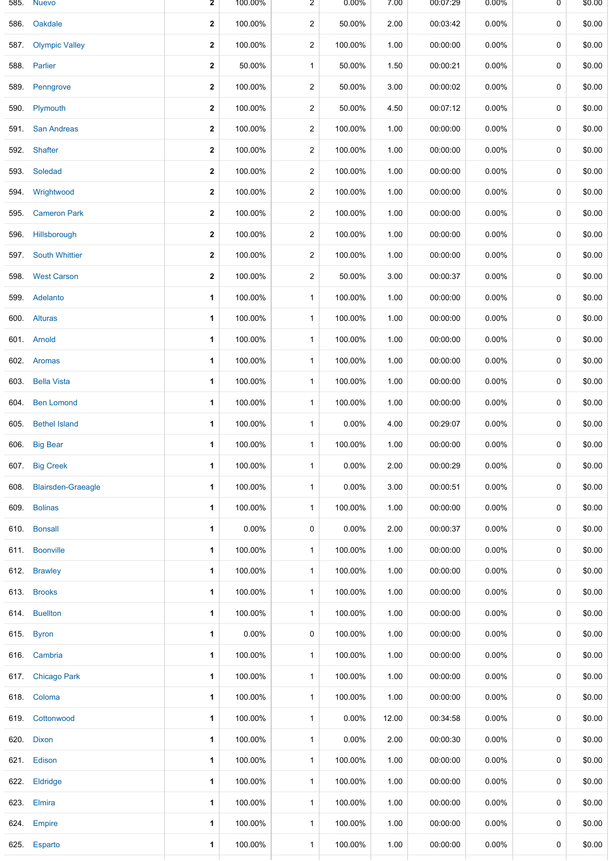| 585. | <b>Nuevo</b>            | 2           | 100.00%  | 2                       | $0.00\%$ | 7.00  | 00:07:29 | $0.00\%$ | 0           | \$0.00 |
|------|-------------------------|-------------|----------|-------------------------|----------|-------|----------|----------|-------------|--------|
|      | 586. Oakdale            | $\mathbf 2$ | 100.00%  | $\overline{2}$          | 50.00%   | 2.00  | 00:03:42 | $0.00\%$ | 0           | \$0.00 |
|      | 587. Olympic Valley     | 2           | 100.00%  | $\overline{2}$          | 100.00%  | 1.00  | 00:00:00 | $0.00\%$ | $\mathbf 0$ | \$0.00 |
|      | 588. Parlier            | $\mathbf 2$ | 50.00%   | $\mathbf{1}$            | 50.00%   | 1.50  | 00:00:21 | $0.00\%$ | 0           | \$0.00 |
|      | 589. Penngrove          | $\mathbf 2$ | 100.00%  | 2                       | 50.00%   | 3.00  | 00:00:02 | $0.00\%$ | 0           | \$0.00 |
|      | 590. Plymouth           | $\mathbf 2$ | 100.00%  | $\overline{a}$          | 50.00%   | 4.50  | 00:07:12 | $0.00\%$ | 0           | \$0.00 |
|      | 591. San Andreas        | 2           | 100.00%  | $\overline{a}$          | 100.00%  | 1.00  | 00:00:00 | $0.00\%$ | 0           | \$0.00 |
|      | 592. Shafter            | $\mathbf 2$ | 100.00%  | $\overline{\mathbf{c}}$ | 100.00%  | 1.00  | 00:00:00 | 0.00%    | 0           | \$0.00 |
|      | 593. Soledad            | $\mathbf 2$ | 100.00%  | 2                       | 100.00%  | 1.00  | 00:00:00 | $0.00\%$ | 0           | \$0.00 |
|      | 594. Wrightwood         | $\mathbf 2$ | 100.00%  | 2                       | 100.00%  | 1.00  | 00:00:00 | $0.00\%$ | $\mathbf 0$ | \$0.00 |
| 595. | <b>Cameron Park</b>     | $\mathbf 2$ | 100.00%  | $\overline{a}$          | 100.00%  | 1.00  | 00:00:00 | $0.00\%$ | 0           | \$0.00 |
|      | 596. Hillsborough       | 2           | 100.00%  | 2                       | 100.00%  | 1.00  | 00:00:00 | 0.00%    | 0           | \$0.00 |
| 597. | <b>South Whittier</b>   | $\mathbf 2$ | 100.00%  | $\overline{a}$          | 100.00%  | 1.00  | 00:00:00 | $0.00\%$ | 0           | \$0.00 |
|      | 598. West Carson        | 2           | 100.00%  | 2                       | 50.00%   | 3.00  | 00:00:37 | $0.00\%$ | 0           | \$0.00 |
|      | 599. Adelanto           | 1           | 100.00%  | $\mathbf{1}$            | 100.00%  | 1.00  | 00:00:00 | 0.00%    | 0           | \$0.00 |
|      | 600. Alturas            | 1           | 100.00%  | $\mathbf{1}$            | 100.00%  | 1.00  | 00:00:00 | $0.00\%$ | 0           | \$0.00 |
|      | 601. Arnold             | 1           | 100.00%  | $\mathbf{1}$            | 100.00%  | 1.00  | 00:00:00 | $0.00\%$ | $\mathbf 0$ | \$0.00 |
|      | 602. Aromas             | 1           | 100.00%  | $\mathbf{1}$            | 100.00%  | 1.00  | 00:00:00 | $0.00\%$ | 0           | \$0.00 |
|      | 603. Bella Vista        | 1           | 100.00%  | $\mathbf{1}$            | 100.00%  | 1.00  | 00:00:00 | $0.00\%$ | 0           | \$0.00 |
| 604. | <b>Ben Lomond</b>       | 1           | 100.00%  | $\mathbf{1}$            | 100.00%  | 1.00  | 00:00:00 | $0.00\%$ | 0           | \$0.00 |
|      | 605. Bethel Island      | 1           | 100.00%  | $\mathbf{1}$            | 0.00%    | 4.00  | 00:29:07 | 0.00%    | 0           | \$0.00 |
|      | 606. Big Bear           | 1           | 100.00%  | $\mathbf{1}$            | 100.00%  | 1.00  | 00:00:00 | $0.00\%$ | 0           | \$0.00 |
|      | 607. Big Creek          | 1           | 100.00%  | $\mathbf{1}$            | 0.00%    | 2.00  | 00:00:29 | 0.00%    | 0           | \$0.00 |
|      | 608. Blairsden-Graeagle | 1           | 100.00%  | 1                       | 0.00%    | 3.00  | 00:00:51 | 0.00%    | 0           | \$0.00 |
|      | 609. Bolinas            | 1           | 100.00%  | $\mathbf{1}$            | 100.00%  | 1.00  | 00:00:00 | $0.00\%$ | 0           | \$0.00 |
|      | 610. Bonsall            | 1           | $0.00\%$ | 0                       | 0.00%    | 2.00  | 00:00:37 | $0.00\%$ | 0           | \$0.00 |
|      | 611. Boonville          | 1           | 100.00%  | $\mathbf{1}$            | 100.00%  | 1.00  | 00:00:00 | $0.00\%$ | 0           | \$0.00 |
|      | 612. Brawley            | 1           | 100.00%  | 1                       | 100.00%  | 1.00  | 00:00:00 | $0.00\%$ | 0           | \$0.00 |
|      | 613. Brooks             | 1           | 100.00%  | $\mathbf{1}$            | 100.00%  | 1.00  | 00:00:00 | $0.00\%$ | 0           | \$0.00 |
|      | 614. Buellton           | 1           | 100.00%  | $\mathbf{1}$            | 100.00%  | 1.00  | 00:00:00 | $0.00\%$ | 0           | \$0.00 |
|      | 615. Byron              | 1           | $0.00\%$ | 0                       | 100.00%  | 1.00  | 00:00:00 | 0.00%    | 0           | \$0.00 |
|      | 616. Cambria            | 1           | 100.00%  | 1                       | 100.00%  | 1.00  | 00:00:00 | $0.00\%$ | 0           | \$0.00 |
|      | 617. Chicago Park       | 1           | 100.00%  | 1                       | 100.00%  | 1.00  | 00:00:00 | $0.00\%$ | 0           | \$0.00 |
|      | 618. Coloma             | 1           | 100.00%  | $\mathbf{1}$            | 100.00%  | 1.00  | 00:00:00 | $0.00\%$ | 0           | \$0.00 |
|      | 619. Cottonwood         | 1           | 100.00%  | 1                       | 0.00%    | 12.00 | 00:34:58 | $0.00\%$ | 0           | \$0.00 |
|      | 620. Dixon              | 1           | 100.00%  | $\mathbf{1}$            | 0.00%    | 2.00  | 00:00:30 | $0.00\%$ | 0           | \$0.00 |
|      | 621. Edison             | 1           | 100.00%  | $\mathbf{1}$            | 100.00%  | 1.00  | 00:00:00 | $0.00\%$ | 0           | \$0.00 |
|      | 622. Eldridge           | 1           | 100.00%  | $\mathbf{1}$            | 100.00%  | 1.00  | 00:00:00 | $0.00\%$ | 0           | \$0.00 |
|      | 623. Elmira             | 1           | 100.00%  | 1                       | 100.00%  | 1.00  | 00:00:00 | $0.00\%$ | 0           | \$0.00 |
|      | 624. Empire             | 1           | 100.00%  | $\mathbf{1}$            | 100.00%  | 1.00  | 00:00:00 | $0.00\%$ | $\mathbf 0$ | \$0.00 |
|      | 625. Esparto            | 1           | 100.00%  | $\mathbf{1}$            | 100.00%  | 1.00  | 00:00:00 | $0.00\%$ | 0           | \$0.00 |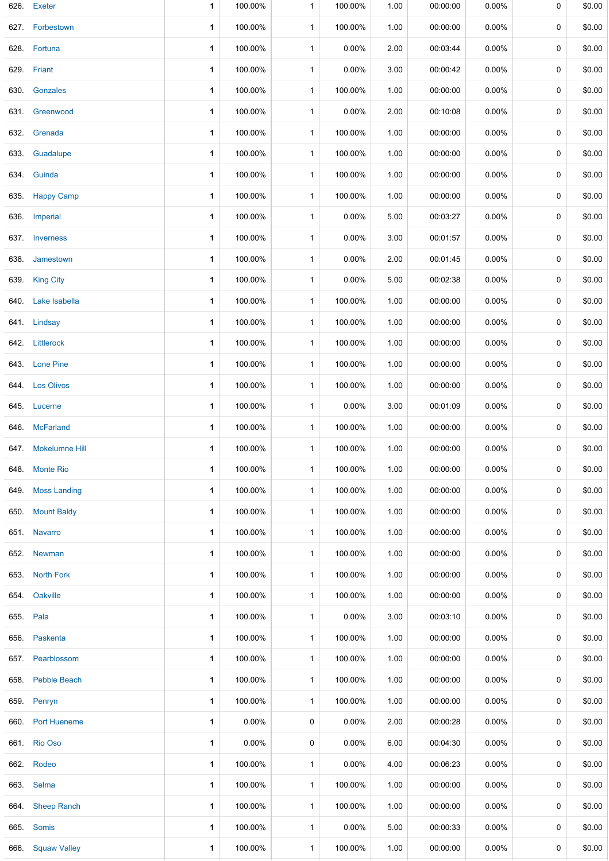|           | 626. Exeter         | 1            | 100.00%  | $\mathbf{1}$ | 100.00%  | 1.00 | 00:00:00 | 0.00%    | 0           | \$0.00 |
|-----------|---------------------|--------------|----------|--------------|----------|------|----------|----------|-------------|--------|
|           | 627. Forbestown     | 1            | 100.00%  | $\mathbf{1}$ | 100.00%  | 1.00 | 00:00:00 | 0.00%    | 0           | \$0.00 |
|           | 628. Fortuna        | $\mathbf{1}$ | 100.00%  | $\mathbf{1}$ | 0.00%    | 2.00 | 00:03:44 | $0.00\%$ | 0           | \$0.00 |
|           | 629. Friant         | 1            | 100.00%  | $\mathbf{1}$ | 0.00%    | 3.00 | 00:00:42 | 0.00%    | 0           | \$0.00 |
| 630.      | Gonzales            | 1            | 100.00%  | $\mathbf{1}$ | 100.00%  | 1.00 | 00:00:00 | 0.00%    | 0           | \$0.00 |
|           | 631. Greenwood      | 1            | 100.00%  | $\mathbf{1}$ | 0.00%    | 2.00 | 00:10:08 | $0.00\%$ | 0           | \$0.00 |
|           | 632. Grenada        | 1            | 100.00%  | $\mathbf{1}$ | 100.00%  | 1.00 | 00:00:00 | 0.00%    | $\mathbf 0$ | \$0.00 |
|           | 633. Guadalupe      | 1            | 100.00%  | $\mathbf{1}$ | 100.00%  | 1.00 | 00:00:00 | 0.00%    | 0           | \$0.00 |
|           | 634. Guinda         | 1            | 100.00%  | $\mathbf{1}$ | 100.00%  | 1.00 | 00:00:00 | 0.00%    | 0           | \$0.00 |
|           | 635. Happy Camp     | $\mathbf{1}$ | 100.00%  | $\mathbf{1}$ | 100.00%  | 1.00 | 00:00:00 | $0.00\%$ | 0           | \$0.00 |
|           | 636. Imperial       | 1            | 100.00%  | $\mathbf{1}$ | 0.00%    | 5.00 | 00:03:27 | 0.00%    | 0           | \$0.00 |
|           | 637. Inverness      | $\mathbf{1}$ | 100.00%  | $\mathbf{1}$ | 0.00%    | 3.00 | 00:01:57 | 0.00%    | 0           | \$0.00 |
|           | 638. Jamestown      | 1            | 100.00%  | $\mathbf{1}$ | 0.00%    | 2.00 | 00:01:45 | $0.00\%$ | 0           | \$0.00 |
|           | 639. King City      | 1            | 100.00%  | $\mathbf{1}$ | 0.00%    | 5.00 | 00:02:38 | 0.00%    | $\mathbf 0$ | \$0.00 |
|           | 640. Lake Isabella  | 1            | 100.00%  | $\mathbf{1}$ | 100.00%  | 1.00 | 00:00:00 | 0.00%    | 0           | \$0.00 |
|           | 641. Lindsay        | 1            | 100.00%  | $\mathbf{1}$ | 100.00%  | 1.00 | 00:00:00 | 0.00%    | 0           | \$0.00 |
|           | 642. Littlerock     | $\mathbf{1}$ | 100.00%  | $\mathbf{1}$ | 100.00%  | 1.00 | 00:00:00 | $0.00\%$ | 0           | \$0.00 |
|           | 643. Lone Pine      | 1            | 100.00%  | $\mathbf{1}$ | 100.00%  | 1.00 | 00:00:00 | 0.00%    | 0           | \$0.00 |
|           | 644. Los Olivos     | $\mathbf{1}$ | 100.00%  | $\mathbf{1}$ | 100.00%  | 1.00 | 00:00:00 | 0.00%    | 0           | \$0.00 |
|           | 645. Lucerne        | 1            | 100.00%  | $\mathbf{1}$ | 0.00%    | 3.00 | 00:01:09 | $0.00\%$ | 0           | \$0.00 |
|           | 646 McFarland       | 1            | 100.00%  | $\mathbf{1}$ | 100.00%  | 1.00 | 00:00:00 | $0.00\%$ | $\mathbf 0$ | \$0.00 |
|           | 647. Mokelumne Hill | 1            | 100.00%  | $\mathbf{1}$ | 100.00%  | 1.00 | 00:00:00 | 0.00%    | 0           | \$0.00 |
|           | 648. Monte Rio      | 1            | 100.00%  | 1            | 100.00%  | 1.00 | 00:00:00 | 0.00%    | 0           | \$0.00 |
|           | 649. Moss Landing   | 1            | 100.00%  | $\mathbf{1}$ | 100.00%  | 1.00 | 00:00:00 | $0.00\%$ | 0           | \$0.00 |
|           | 650. Mount Baldy    | 1            | 100.00%  | $\mathbf{1}$ | 100.00%  | 1.00 | 00:00:00 | $0.00\%$ | 0           | \$0.00 |
|           | 651. Navarro        | 1            | 100.00%  | $\mathbf{1}$ | 100.00%  | 1.00 | 00:00:00 | 0.00%    | 0           | \$0.00 |
|           | 652. Newman         | 1            | 100.00%  | $\mathbf{1}$ | 100.00%  | 1.00 | 00:00:00 | $0.00\%$ | 0           | \$0.00 |
|           | 653. North Fork     | 1            | 100.00%  | $\mathbf{1}$ | 100.00%  | 1.00 | 00:00:00 | 0.00%    | 0           | \$0.00 |
|           | 654. Oakville       | 1            | 100.00%  | $\mathbf{1}$ | 100.00%  | 1.00 | 00:00:00 | $0.00\%$ | 0           | \$0.00 |
| 655. Pala |                     | 1            | 100.00%  | $\mathbf{1}$ | 0.00%    | 3.00 | 00:03:10 | 0.00%    | 0           | \$0.00 |
|           | 656. Paskenta       | 1            | 100.00%  | $\mathbf{1}$ | 100.00%  | 1.00 | 00:00:00 | 0.00%    | 0           | \$0.00 |
|           | 657 Pearblossom     | 1            | 100.00%  | $\mathbf{1}$ | 100.00%  | 1.00 | 00:00:00 | 0.00%    | 0           | \$0.00 |
|           | 658. Pebble Beach   | 1            | 100.00%  | $\mathbf{1}$ | 100.00%  | 1.00 | 00:00:00 | 0.00%    | 0           | \$0.00 |
|           | 659. Penryn         | 1            | 100.00%  | $\mathbf{1}$ | 100.00%  | 1.00 | 00:00:00 | $0.00\%$ | 0           | \$0.00 |
|           | 660. Port Hueneme   | 1            | $0.00\%$ | 0            | 0.00%    | 2.00 | 00:00:28 | $0.00\%$ | 0           | \$0.00 |
|           | 661. Rio Oso        | 1            | $0.00\%$ | 0            | 0.00%    | 6.00 | 00:04:30 | $0.00\%$ | 0           | \$0.00 |
|           | 662. Rodeo          | 1            | 100.00%  | $\mathbf{1}$ | 0.00%    | 4.00 | 00:06:23 | 0.00%    | 0           | \$0.00 |
|           | 663. Selma          | 1            | 100.00%  | $\mathbf{1}$ | 100.00%  | 1.00 | 00:00:00 | 0.00%    | 0           | \$0.00 |
|           | 664. Sheep Ranch    | 1            | 100.00%  | $\mathbf{1}$ | 100.00%  | 1.00 | 00:00:00 | 0.00%    | 0           | \$0.00 |
|           | 665. Somis          | 1            | 100.00%  | $\mathbf{1}$ | $0.00\%$ | 5.00 | 00:00:33 | 0.00%    | 0           | \$0.00 |
|           | 666. Squaw Valley   | 1            | 100.00%  | $\mathbf{1}$ | 100.00%  | 1.00 | 00:00:00 | $0.00\%$ | 0           | \$0.00 |